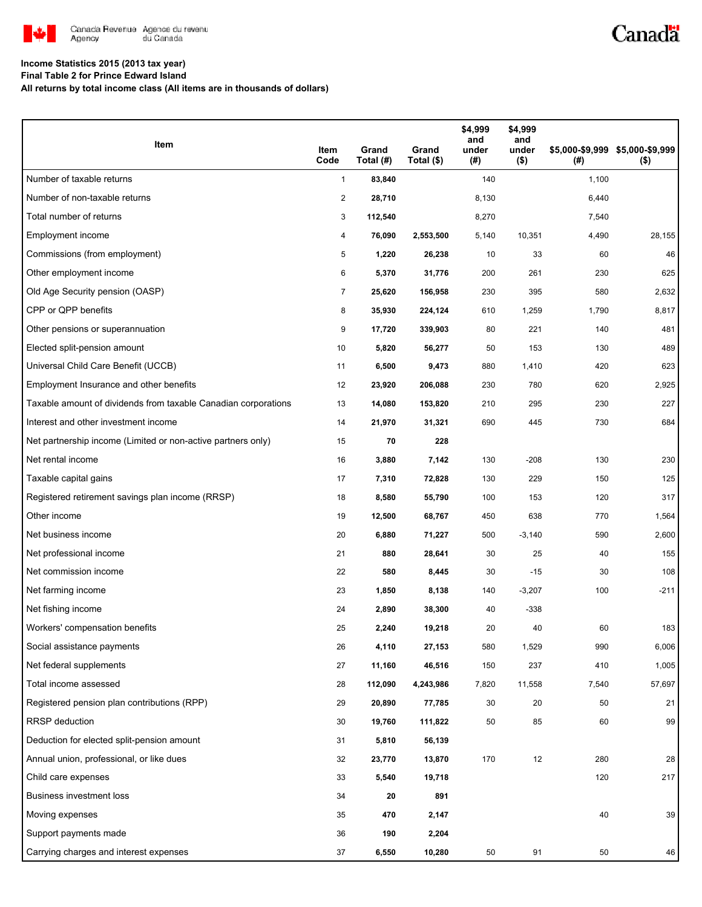

# Canadä

### **Income Statistics 2015 (2013 tax year)**

**Final Table 2 for Prince Edward Island**

**All returns by total income class (All items are in thousands of dollars)**

| Item                                                           | Item<br>Code   | Grand<br>Total (#) | Grand<br>Total (\$) | \$4,999<br>and<br>under<br>(#) | \$4,999<br>and<br>under<br>$($ \$) | (#)   | \$5,000-\$9,999 \$5,000-\$9,999<br>$($ \$) |
|----------------------------------------------------------------|----------------|--------------------|---------------------|--------------------------------|------------------------------------|-------|--------------------------------------------|
| Number of taxable returns                                      | $\mathbf{1}$   | 83,840             |                     | 140                            |                                    | 1,100 |                                            |
| Number of non-taxable returns                                  | 2              | 28,710             |                     | 8,130                          |                                    | 6,440 |                                            |
| Total number of returns                                        | 3              | 112,540            |                     | 8,270                          |                                    | 7,540 |                                            |
| <b>Employment income</b>                                       | 4              | 76,090             | 2,553,500           | 5,140                          | 10,351                             | 4,490 | 28,155                                     |
| Commissions (from employment)                                  | 5              | 1,220              | 26,238              | 10                             | 33                                 | 60    | 46                                         |
| Other employment income                                        | 6              | 5,370              | 31,776              | 200                            | 261                                | 230   | 625                                        |
| Old Age Security pension (OASP)                                | $\overline{7}$ | 25,620             | 156,958             | 230                            | 395                                | 580   | 2,632                                      |
| CPP or QPP benefits                                            | 8              | 35,930             | 224,124             | 610                            | 1,259                              | 1,790 | 8,817                                      |
| Other pensions or superannuation                               | 9              | 17,720             | 339,903             | 80                             | 221                                | 140   | 481                                        |
| Elected split-pension amount                                   | 10             | 5,820              | 56,277              | 50                             | 153                                | 130   | 489                                        |
| Universal Child Care Benefit (UCCB)                            | 11             | 6,500              | 9,473               | 880                            | 1,410                              | 420   | 623                                        |
| Employment Insurance and other benefits                        | 12             | 23,920             | 206,088             | 230                            | 780                                | 620   | 2,925                                      |
| Taxable amount of dividends from taxable Canadian corporations | 13             | 14,080             | 153,820             | 210                            | 295                                | 230   | 227                                        |
| Interest and other investment income                           | 14             | 21,970             | 31,321              | 690                            | 445                                | 730   | 684                                        |
| Net partnership income (Limited or non-active partners only)   | 15             | 70                 | 228                 |                                |                                    |       |                                            |
| Net rental income                                              | 16             | 3,880              | 7,142               | 130                            | $-208$                             | 130   | 230                                        |
| Taxable capital gains                                          | 17             | 7,310              | 72,828              | 130                            | 229                                | 150   | 125                                        |
| Registered retirement savings plan income (RRSP)               | 18             | 8,580              | 55,790              | 100                            | 153                                | 120   | 317                                        |
| Other income                                                   | 19             | 12,500             | 68,767              | 450                            | 638                                | 770   | 1,564                                      |
| Net business income                                            | 20             | 6,880              | 71,227              | 500                            | $-3,140$                           | 590   | 2,600                                      |
| Net professional income                                        | 21             | 880                | 28,641              | 30                             | 25                                 | 40    | 155                                        |
| Net commission income                                          | 22             | 580                | 8,445               | 30                             | $-15$                              | 30    | 108                                        |
| Net farming income                                             | 23             | 1,850              | 8,138               | 140                            | $-3,207$                           | 100   | $-211$                                     |
| Net fishing income                                             | 24             | 2,890              | 38,300              | 40                             | $-338$                             |       |                                            |
| Workers' compensation benefits                                 | 25             | 2,240              | 19,218              | 20                             | 40                                 | 60    | 183                                        |
| Social assistance payments                                     | 26             | 4,110              | 27,153              | 580                            | 1,529                              | 990   | 6,006                                      |
| Net federal supplements                                        | 27             | 11,160             | 46,516              | 150                            | 237                                | 410   | 1,005                                      |
| Total income assessed                                          | 28             | 112,090            | 4,243,986           | 7,820                          | 11,558                             | 7,540 | 57,697                                     |
| Registered pension plan contributions (RPP)                    | 29             | 20,890             | 77,785              | 30                             | 20                                 | 50    | 21                                         |
| RRSP deduction                                                 | 30             | 19,760             | 111,822             | 50                             | 85                                 | 60    | 99                                         |
| Deduction for elected split-pension amount                     | 31             | 5,810              | 56,139              |                                |                                    |       |                                            |
| Annual union, professional, or like dues                       | 32             | 23,770             | 13,870              | 170                            | 12                                 | 280   | 28                                         |
| Child care expenses                                            | 33             | 5,540              | 19,718              |                                |                                    | 120   | 217                                        |
| Business investment loss                                       | 34             | 20                 | 891                 |                                |                                    |       |                                            |
| Moving expenses                                                | 35             | 470                | 2,147               |                                |                                    | 40    | 39                                         |
| Support payments made                                          | 36             | 190                | 2,204               |                                |                                    |       |                                            |
| Carrying charges and interest expenses                         | 37             | 6,550              | 10,280              | $50\,$                         | 91                                 | 50    | 46                                         |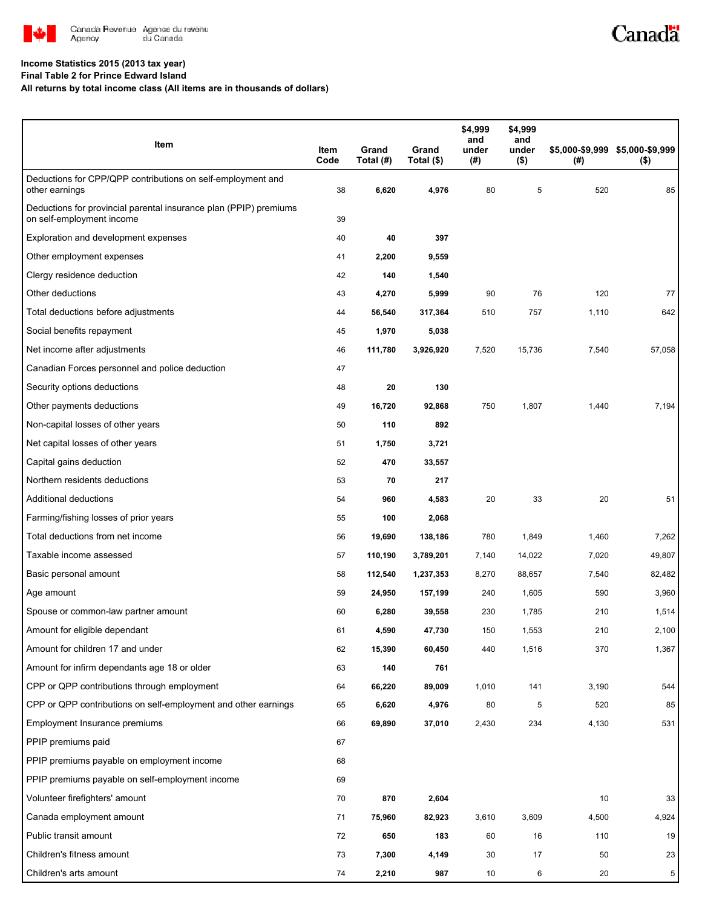

# Canadä

### **Income Statistics 2015 (2013 tax year)**

**Final Table 2 for Prince Edward Island**

**All returns by total income class (All items are in thousands of dollars)**

| Item                                                                                           | Item<br>Code | Grand<br>Total (#) | Grand<br>Total (\$) | \$4,999<br>and<br>under<br>(# ) | \$4,999<br>and<br>under<br>$($ \$) | (#)   | \$5,000-\$9,999 \$5,000-\$9,999<br>$($ \$) |
|------------------------------------------------------------------------------------------------|--------------|--------------------|---------------------|---------------------------------|------------------------------------|-------|--------------------------------------------|
| Deductions for CPP/QPP contributions on self-employment and<br>other earnings                  | 38           | 6,620              | 4,976               | 80                              | 5                                  | 520   | 85                                         |
| Deductions for provincial parental insurance plan (PPIP) premiums<br>on self-employment income | 39           |                    |                     |                                 |                                    |       |                                            |
| Exploration and development expenses                                                           | 40           | 40                 | 397                 |                                 |                                    |       |                                            |
| Other employment expenses                                                                      | 41           | 2,200              | 9,559               |                                 |                                    |       |                                            |
| Clergy residence deduction                                                                     | 42           | 140                | 1,540               |                                 |                                    |       |                                            |
| Other deductions                                                                               | 43           | 4,270              | 5,999               | 90                              | 76                                 | 120   | 77                                         |
| Total deductions before adjustments                                                            | 44           | 56,540             | 317,364             | 510                             | 757                                | 1,110 | 642                                        |
| Social benefits repayment                                                                      | 45           | 1,970              | 5,038               |                                 |                                    |       |                                            |
| Net income after adjustments                                                                   | 46           | 111,780            | 3,926,920           | 7,520                           | 15,736                             | 7,540 | 57,058                                     |
| Canadian Forces personnel and police deduction                                                 | 47           |                    |                     |                                 |                                    |       |                                            |
| Security options deductions                                                                    | 48           | 20                 | 130                 |                                 |                                    |       |                                            |
| Other payments deductions                                                                      | 49           | 16,720             | 92,868              | 750                             | 1,807                              | 1,440 | 7,194                                      |
| Non-capital losses of other years                                                              | 50           | 110                | 892                 |                                 |                                    |       |                                            |
| Net capital losses of other years                                                              | 51           | 1,750              | 3,721               |                                 |                                    |       |                                            |
| Capital gains deduction                                                                        | 52           | 470                | 33,557              |                                 |                                    |       |                                            |
| Northern residents deductions                                                                  | 53           | 70                 | 217                 |                                 |                                    |       |                                            |
| Additional deductions                                                                          | 54           | 960                | 4,583               | 20                              | 33                                 | 20    | 51                                         |
| Farming/fishing losses of prior years                                                          | 55           | 100                | 2,068               |                                 |                                    |       |                                            |
| Total deductions from net income                                                               | 56           | 19,690             | 138,186             | 780                             | 1,849                              | 1,460 | 7,262                                      |
| Taxable income assessed                                                                        | 57           | 110,190            | 3,789,201           | 7,140                           | 14,022                             | 7,020 | 49,807                                     |
| Basic personal amount                                                                          | 58           | 112,540            | 1,237,353           | 8,270                           | 88,657                             | 7,540 | 82,482                                     |
| Age amount                                                                                     | 59           | 24,950             | 157,199             | 240                             | 1,605                              | 590   | 3,960                                      |
| Spouse or common-law partner amount                                                            | 60           | 6,280              | 39,558              | 230                             | 1,785                              | 210   | 1,514                                      |
| Amount for eligible dependant                                                                  | 61           | 4,590              | 47,730              | 150                             | 1,553                              | 210   | 2,100                                      |
| Amount for children 17 and under                                                               | 62           | 15,390             | 60,450              | 440                             | 1,516                              | 370   | 1,367                                      |
| Amount for infirm dependants age 18 or older                                                   | 63           | 140                | 761                 |                                 |                                    |       |                                            |
| CPP or QPP contributions through employment                                                    | 64           | 66,220             | 89,009              | 1,010                           | 141                                | 3,190 | 544                                        |
| CPP or QPP contributions on self-employment and other earnings                                 | 65           | 6,620              | 4,976               | 80                              | 5                                  | 520   | 85                                         |
| Employment Insurance premiums                                                                  | 66           | 69,890             | 37,010              | 2,430                           | 234                                | 4,130 | 531                                        |
| PPIP premiums paid                                                                             | 67           |                    |                     |                                 |                                    |       |                                            |
| PPIP premiums payable on employment income                                                     | 68           |                    |                     |                                 |                                    |       |                                            |
| PPIP premiums payable on self-employment income                                                | 69           |                    |                     |                                 |                                    |       |                                            |
| Volunteer firefighters' amount                                                                 | 70           | 870                | 2,604               |                                 |                                    | 10    | 33                                         |
| Canada employment amount                                                                       | 71           | 75,960             | 82,923              | 3,610                           | 3,609                              | 4,500 | 4,924                                      |
| Public transit amount                                                                          | 72           | 650                | 183                 | 60                              | 16                                 | 110   | 19                                         |
| Children's fitness amount                                                                      | 73           | 7,300              | 4,149               | 30                              | 17                                 | 50    | 23                                         |
| Children's arts amount                                                                         | 74           | 2,210              | 987                 | 10                              | 6                                  | 20    | 5                                          |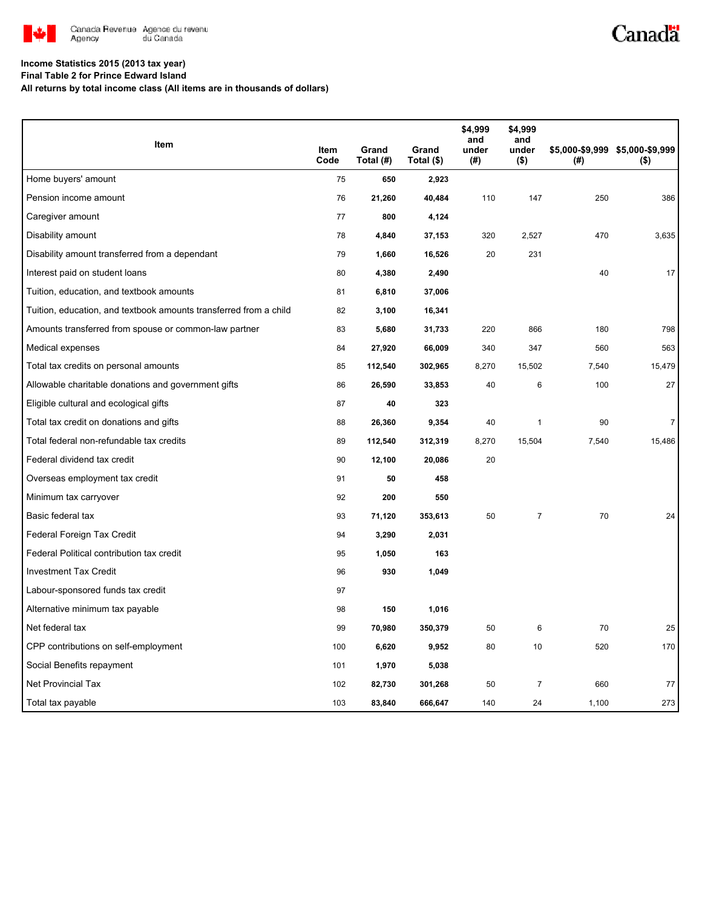

## Canadä

#### **Income Statistics 2015 (2013 tax year)**

**Final Table 2 for Prince Edward Island**

**All returns by total income class (All items are in thousands of dollars)**

|                                                                   |              |                    |                     | \$4,999<br>and  | \$4,999<br>and   |       |                                            |
|-------------------------------------------------------------------|--------------|--------------------|---------------------|-----------------|------------------|-------|--------------------------------------------|
| Item                                                              | Item<br>Code | Grand<br>Total (#) | Grand<br>Total (\$) | under<br>$($ #) | under<br>$($ \$) | (#)   | \$5,000-\$9,999 \$5,000-\$9,999<br>$($ \$) |
| Home buyers' amount                                               | 75           | 650                | 2,923               |                 |                  |       |                                            |
| Pension income amount                                             | 76           | 21,260             | 40,484              | 110             | 147              | 250   | 386                                        |
| Caregiver amount                                                  | 77           | 800                | 4,124               |                 |                  |       |                                            |
| Disability amount                                                 | 78           | 4,840              | 37,153              | 320             | 2,527            | 470   | 3,635                                      |
| Disability amount transferred from a dependant                    | 79           | 1,660              | 16,526              | 20              | 231              |       |                                            |
| Interest paid on student loans                                    | 80           | 4,380              | 2,490               |                 |                  | 40    | 17                                         |
| Tuition, education, and textbook amounts                          | 81           | 6,810              | 37,006              |                 |                  |       |                                            |
| Tuition, education, and textbook amounts transferred from a child | 82           | 3,100              | 16,341              |                 |                  |       |                                            |
| Amounts transferred from spouse or common-law partner             | 83           | 5,680              | 31,733              | 220             | 866              | 180   | 798                                        |
| Medical expenses                                                  | 84           | 27,920             | 66,009              | 340             | 347              | 560   | 563                                        |
| Total tax credits on personal amounts                             | 85           | 112,540            | 302,965             | 8,270           | 15,502           | 7,540 | 15,479                                     |
| Allowable charitable donations and government gifts               | 86           | 26,590             | 33,853              | 40              | 6                | 100   | 27                                         |
| Eligible cultural and ecological gifts                            | 87           | 40                 | 323                 |                 |                  |       |                                            |
| Total tax credit on donations and gifts                           | 88           | 26,360             | 9,354               | 40              | $\mathbf{1}$     | 90    | $\overline{7}$                             |
| Total federal non-refundable tax credits                          | 89           | 112,540            | 312,319             | 8,270           | 15,504           | 7,540 | 15,486                                     |
| Federal dividend tax credit                                       | 90           | 12,100             | 20,086              | 20              |                  |       |                                            |
| Overseas employment tax credit                                    | 91           | 50                 | 458                 |                 |                  |       |                                            |
| Minimum tax carryover                                             | 92           | 200                | 550                 |                 |                  |       |                                            |
| Basic federal tax                                                 | 93           | 71,120             | 353,613             | 50              | $\overline{7}$   | 70    | 24                                         |
| Federal Foreign Tax Credit                                        | 94           | 3,290              | 2,031               |                 |                  |       |                                            |
| Federal Political contribution tax credit                         | 95           | 1,050              | 163                 |                 |                  |       |                                            |
| <b>Investment Tax Credit</b>                                      | 96           | 930                | 1,049               |                 |                  |       |                                            |
| Labour-sponsored funds tax credit                                 | 97           |                    |                     |                 |                  |       |                                            |
| Alternative minimum tax payable                                   | 98           | 150                | 1,016               |                 |                  |       |                                            |
| Net federal tax                                                   | 99           | 70,980             | 350,379             | 50              | 6                | 70    | 25                                         |
| CPP contributions on self-employment                              | 100          | 6,620              | 9,952               | 80              | 10               | 520   | 170                                        |
| Social Benefits repayment                                         | 101          | 1,970              | 5,038               |                 |                  |       |                                            |
| <b>Net Provincial Tax</b>                                         | 102          | 82,730             | 301,268             | 50              | $\overline{7}$   | 660   | 77                                         |
| Total tax payable                                                 | 103          | 83,840             | 666,647             | 140             | 24               | 1,100 | 273                                        |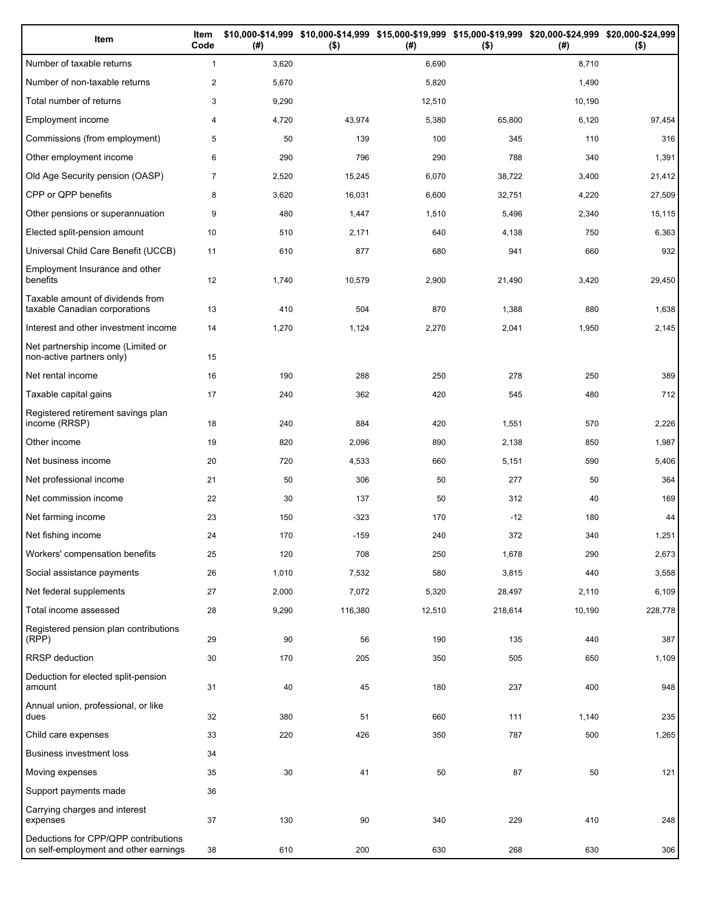| Item                                                                          | Item<br>Code   | (# )   | $($ \$) | (#)    | \$10,000-\$14,999 \$10,000-\$14,999 \$15,000-\$19,999 \$15,000-\$19,999 \$20,000-\$24,999 \$20,000-\$24,999<br>$($ \$) | (#)    | $($ \$) |
|-------------------------------------------------------------------------------|----------------|--------|---------|--------|------------------------------------------------------------------------------------------------------------------------|--------|---------|
| Number of taxable returns                                                     | $\mathbf{1}$   | 3,620  |         | 6,690  |                                                                                                                        | 8,710  |         |
| Number of non-taxable returns                                                 | $\overline{c}$ | 5,670  |         | 5,820  |                                                                                                                        | 1,490  |         |
| Total number of returns                                                       | 3              | 9,290  |         | 12,510 |                                                                                                                        | 10,190 |         |
| Employment income                                                             | 4              | 4,720  | 43,974  | 5,380  | 65,800                                                                                                                 | 6,120  | 97,454  |
| Commissions (from employment)                                                 | 5              | 50     | 139     | 100    | 345                                                                                                                    | 110    | 316     |
| Other employment income                                                       | 6              | 290    | 796     | 290    | 788                                                                                                                    | 340    | 1,391   |
| Old Age Security pension (OASP)                                               | $\overline{7}$ | 2,520  | 15,245  | 6,070  | 38,722                                                                                                                 | 3,400  | 21,412  |
| CPP or QPP benefits                                                           | 8              | 3,620  | 16,031  | 6,600  | 32,751                                                                                                                 | 4,220  | 27,509  |
| Other pensions or superannuation                                              | 9              | 480    | 1,447   | 1,510  | 5,496                                                                                                                  | 2,340  | 15,115  |
| Elected split-pension amount                                                  | 10             | 510    | 2,171   | 640    | 4,138                                                                                                                  | 750    | 6,363   |
| Universal Child Care Benefit (UCCB)                                           | 11             | 610    | 877     | 680    | 941                                                                                                                    | 660    | 932     |
| Employment Insurance and other<br>benefits                                    | 12             | 1,740  | 10,579  | 2,900  | 21,490                                                                                                                 | 3,420  | 29,450  |
| Taxable amount of dividends from<br>taxable Canadian corporations             | 13             | 410    | 504     | 870    | 1,388                                                                                                                  | 880    | 1,638   |
| Interest and other investment income                                          | 14             | 1,270  | 1,124   | 2,270  | 2,041                                                                                                                  | 1,950  | 2,145   |
| Net partnership income (Limited or<br>non-active partners only)               | 15             |        |         |        |                                                                                                                        |        |         |
| Net rental income                                                             | 16             | 190    | 288     | 250    | 278                                                                                                                    | 250    | 389     |
| Taxable capital gains                                                         | 17             | 240    | 362     | 420    | 545                                                                                                                    | 480    | 712     |
| Registered retirement savings plan<br>income (RRSP)                           | 18             | 240    | 884     | 420    | 1,551                                                                                                                  | 570    | 2,226   |
| Other income                                                                  | 19             | 820    | 2,096   | 890    | 2,138                                                                                                                  | 850    | 1,987   |
| Net business income                                                           | 20             | 720    | 4,533   | 660    | 5,151                                                                                                                  | 590    | 5,406   |
| Net professional income                                                       | 21             | 50     | 306     | 50     | 277                                                                                                                    | 50     | 364     |
| Net commission income                                                         | 22             | 30     | 137     | 50     | 312                                                                                                                    | 40     | 169     |
| Net farming income                                                            | 23             | 150    | $-323$  | 170    | $-12$                                                                                                                  | 180    | 44      |
| Net fishing income                                                            | 24             | 170    | $-159$  | 240    | 372                                                                                                                    | 340    | 1,251   |
| Workers' compensation benefits                                                | 25             | 120    | 708     | 250    | 1,678                                                                                                                  | 290    | 2,673   |
| Social assistance payments                                                    | 26             | 1,010  | 7,532   | 580    | 3,815                                                                                                                  | 440    | 3,558   |
| Net federal supplements                                                       | 27             | 2,000  | 7,072   | 5,320  | 28,497                                                                                                                 | 2,110  | 6,109   |
| Total income assessed                                                         | 28             | 9,290  | 116,380 | 12,510 | 218,614                                                                                                                | 10,190 | 228,778 |
| Registered pension plan contributions<br>(RPP)                                | 29             | 90     | 56      | 190    | 135                                                                                                                    | 440    | 387     |
| RRSP deduction                                                                | 30             | 170    | 205     | 350    | 505                                                                                                                    | 650    | 1,109   |
| Deduction for elected split-pension<br>amount                                 | 31             | 40     | 45      | 180    | 237                                                                                                                    | 400    | 948     |
| Annual union, professional, or like<br>dues                                   | 32             | 380    | 51      | 660    | 111                                                                                                                    | 1,140  | 235     |
| Child care expenses                                                           | 33             | 220    | 426     | 350    | 787                                                                                                                    | 500    | 1,265   |
| <b>Business investment loss</b>                                               | 34             |        |         |        |                                                                                                                        |        |         |
| Moving expenses                                                               | 35             | $30\,$ | 41      | 50     | 87                                                                                                                     | 50     | 121     |
| Support payments made                                                         | 36             |        |         |        |                                                                                                                        |        |         |
| Carrying charges and interest<br>expenses                                     | 37             | 130    | 90      | 340    | 229                                                                                                                    | 410    | 248     |
| Deductions for CPP/QPP contributions<br>on self-employment and other earnings | 38             | 610    | 200     | 630    | 268                                                                                                                    | 630    | 306     |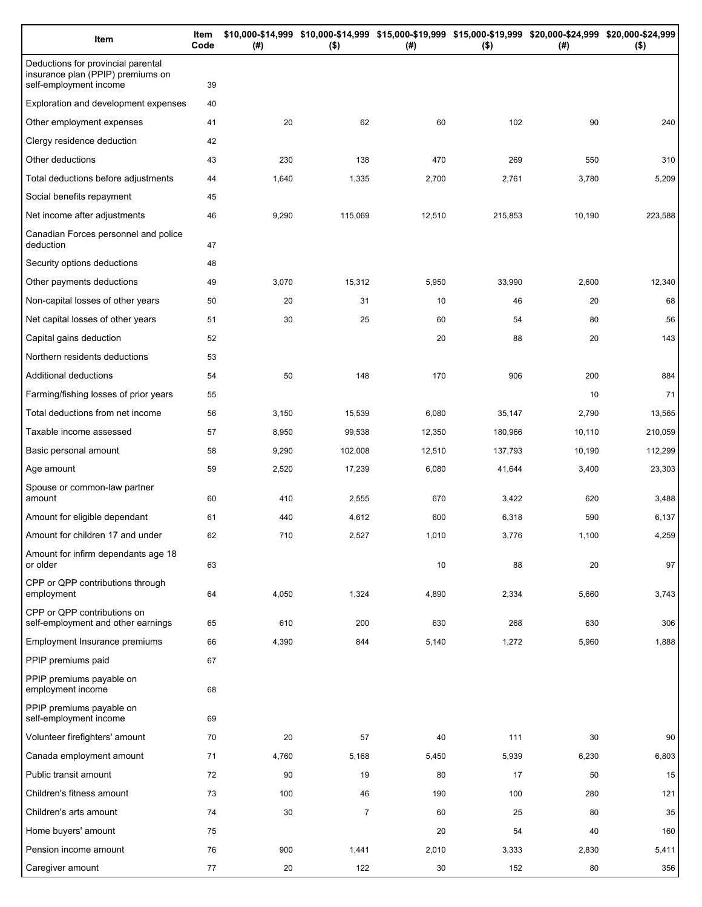| Item                                                                                              | Item<br>Code | (# )  | \$10,000-\$14,999 \$10,000-\$14,999 \$15,000-\$19,999 \$15,000-\$19,999 \$20,000-\$24,999 \$20,000-\$24,999<br>$($ \$) | (# )   | $($ \$) | (# )   | $($ \$) |
|---------------------------------------------------------------------------------------------------|--------------|-------|------------------------------------------------------------------------------------------------------------------------|--------|---------|--------|---------|
| Deductions for provincial parental<br>insurance plan (PPIP) premiums on<br>self-employment income | 39           |       |                                                                                                                        |        |         |        |         |
| Exploration and development expenses                                                              | 40           |       |                                                                                                                        |        |         |        |         |
| Other employment expenses                                                                         | 41           | 20    | 62                                                                                                                     | 60     | 102     | 90     | 240     |
| Clergy residence deduction                                                                        | 42           |       |                                                                                                                        |        |         |        |         |
| Other deductions                                                                                  | 43           | 230   | 138                                                                                                                    | 470    | 269     | 550    | 310     |
| Total deductions before adjustments                                                               | 44           | 1,640 | 1,335                                                                                                                  | 2,700  | 2,761   | 3,780  | 5,209   |
| Social benefits repayment                                                                         | 45           |       |                                                                                                                        |        |         |        |         |
| Net income after adjustments                                                                      | 46           | 9,290 | 115,069                                                                                                                | 12,510 | 215,853 | 10,190 | 223,588 |
| Canadian Forces personnel and police<br>deduction                                                 | 47           |       |                                                                                                                        |        |         |        |         |
| Security options deductions                                                                       | 48           |       |                                                                                                                        |        |         |        |         |
| Other payments deductions                                                                         | 49           | 3,070 | 15,312                                                                                                                 | 5,950  | 33,990  | 2,600  | 12,340  |
| Non-capital losses of other years                                                                 | 50           | 20    | 31                                                                                                                     | 10     | 46      | 20     | 68      |
| Net capital losses of other years                                                                 | 51           | 30    | 25                                                                                                                     | 60     | 54      | 80     | 56      |
| Capital gains deduction                                                                           | 52           |       |                                                                                                                        | 20     | 88      | 20     | 143     |
| Northern residents deductions                                                                     | 53           |       |                                                                                                                        |        |         |        |         |
| Additional deductions                                                                             | 54           | 50    | 148                                                                                                                    | 170    | 906     | 200    | 884     |
| Farming/fishing losses of prior years                                                             | 55           |       |                                                                                                                        |        |         | 10     | 71      |
| Total deductions from net income                                                                  | 56           | 3,150 | 15,539                                                                                                                 | 6,080  | 35,147  | 2,790  | 13,565  |
| Taxable income assessed                                                                           | 57           | 8,950 | 99,538                                                                                                                 | 12,350 | 180,966 | 10,110 | 210,059 |
| Basic personal amount                                                                             | 58           | 9,290 | 102,008                                                                                                                | 12,510 | 137,793 | 10,190 | 112,299 |
| Age amount                                                                                        | 59           | 2,520 | 17,239                                                                                                                 | 6,080  | 41,644  | 3,400  | 23,303  |
| Spouse or common-law partner<br>amount                                                            | 60           | 410   | 2,555                                                                                                                  | 670    | 3,422   | 620    | 3,488   |
| Amount for eligible dependant                                                                     | 61           | 440   | 4,612                                                                                                                  | 600    | 6,318   | 590    | 6,137   |
| Amount for children 17 and under                                                                  | 62           | 710   | 2,527                                                                                                                  | 1,010  | 3,776   | 1,100  | 4,259   |
| Amount for infirm dependants age 18<br>or older                                                   | 63           |       |                                                                                                                        | 10     | 88      | 20     | 97      |
| CPP or QPP contributions through<br>employment                                                    | 64           | 4,050 | 1,324                                                                                                                  | 4,890  | 2,334   | 5,660  | 3,743   |
| CPP or QPP contributions on<br>self-employment and other earnings                                 | 65           | 610   | 200                                                                                                                    | 630    | 268     | 630    | 306     |
| <b>Employment Insurance premiums</b>                                                              | 66           | 4,390 | 844                                                                                                                    | 5,140  | 1,272   | 5,960  | 1,888   |
| PPIP premiums paid                                                                                | 67           |       |                                                                                                                        |        |         |        |         |
| PPIP premiums payable on<br>employment income                                                     | 68           |       |                                                                                                                        |        |         |        |         |
| PPIP premiums payable on<br>self-employment income                                                | 69           |       |                                                                                                                        |        |         |        |         |
| Volunteer firefighters' amount                                                                    | 70           | 20    | 57                                                                                                                     | 40     | 111     | 30     | 90      |
| Canada employment amount                                                                          | 71           | 4,760 | 5,168                                                                                                                  | 5,450  | 5,939   | 6,230  | 6,803   |
| Public transit amount                                                                             | 72           | 90    | 19                                                                                                                     | 80     | 17      | 50     | 15      |
| Children's fitness amount                                                                         | 73           | 100   | 46                                                                                                                     | 190    | 100     | 280    | 121     |
| Children's arts amount                                                                            | 74           | 30    | $\overline{7}$                                                                                                         | 60     | 25      | 80     | 35      |
| Home buyers' amount                                                                               | 75           |       |                                                                                                                        | 20     | 54      | 40     | 160     |
| Pension income amount                                                                             | 76           | 900   | 1,441                                                                                                                  | 2,010  | 3,333   | 2,830  | 5,411   |
| Caregiver amount                                                                                  | 77           | 20    | 122                                                                                                                    | 30     | 152     | 80     | 356     |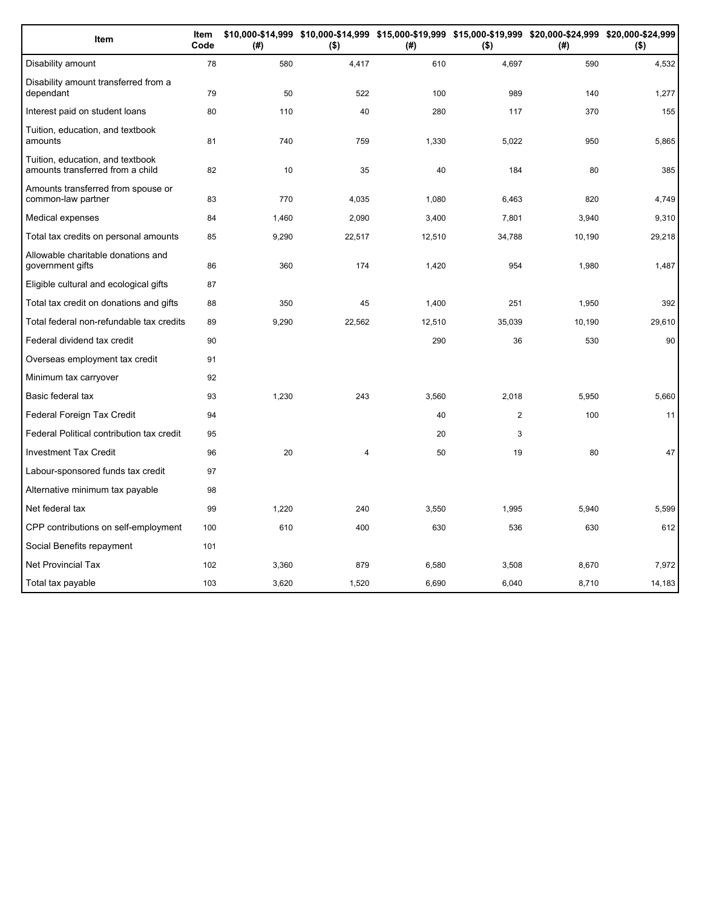| Item                                                                 | Item<br>Code | (#)   | \$10,000-\$14,999 \$10,000-\$14,999 \$15,000-\$19,999 \$15,000-\$19,999 \$20,000-\$24,999 \$20,000-\$24,999<br>$($ \$) | (#)    | $($ \$)        | (# )   | $($ \$) |
|----------------------------------------------------------------------|--------------|-------|------------------------------------------------------------------------------------------------------------------------|--------|----------------|--------|---------|
| Disability amount                                                    | 78           | 580   | 4,417                                                                                                                  | 610    | 4,697          | 590    | 4,532   |
| Disability amount transferred from a<br>dependant                    | 79           | 50    | 522                                                                                                                    | 100    | 989            | 140    | 1,277   |
| Interest paid on student loans                                       | 80           | 110   | 40                                                                                                                     | 280    | 117            | 370    | 155     |
| Tuition, education, and textbook<br>amounts                          | 81           | 740   | 759                                                                                                                    | 1,330  | 5,022          | 950    | 5,865   |
| Tuition, education, and textbook<br>amounts transferred from a child | 82           | 10    | 35                                                                                                                     | 40     | 184            | 80     | 385     |
| Amounts transferred from spouse or<br>common-law partner             | 83           | 770   | 4,035                                                                                                                  | 1,080  | 6,463          | 820    | 4,749   |
| Medical expenses                                                     | 84           | 1,460 | 2,090                                                                                                                  | 3,400  | 7,801          | 3,940  | 9,310   |
| Total tax credits on personal amounts                                | 85           | 9,290 | 22,517                                                                                                                 | 12,510 | 34,788         | 10,190 | 29,218  |
| Allowable charitable donations and<br>government gifts               | 86           | 360   | 174                                                                                                                    | 1,420  | 954            | 1,980  | 1,487   |
| Eligible cultural and ecological gifts                               | 87           |       |                                                                                                                        |        |                |        |         |
| Total tax credit on donations and gifts                              | 88           | 350   | 45                                                                                                                     | 1,400  | 251            | 1,950  | 392     |
| Total federal non-refundable tax credits                             | 89           | 9,290 | 22,562                                                                                                                 | 12,510 | 35,039         | 10,190 | 29,610  |
| Federal dividend tax credit                                          | 90           |       |                                                                                                                        | 290    | 36             | 530    | 90      |
| Overseas employment tax credit                                       | 91           |       |                                                                                                                        |        |                |        |         |
| Minimum tax carryover                                                | 92           |       |                                                                                                                        |        |                |        |         |
| Basic federal tax                                                    | 93           | 1,230 | 243                                                                                                                    | 3,560  | 2,018          | 5,950  | 5,660   |
| Federal Foreign Tax Credit                                           | 94           |       |                                                                                                                        | 40     | $\overline{2}$ | 100    | 11      |
| Federal Political contribution tax credit                            | 95           |       |                                                                                                                        | 20     | 3              |        |         |
| <b>Investment Tax Credit</b>                                         | 96           | 20    | $\overline{\mathbf{4}}$                                                                                                | 50     | 19             | 80     | 47      |
| Labour-sponsored funds tax credit                                    | 97           |       |                                                                                                                        |        |                |        |         |
| Alternative minimum tax payable                                      | 98           |       |                                                                                                                        |        |                |        |         |
| Net federal tax                                                      | 99           | 1,220 | 240                                                                                                                    | 3,550  | 1,995          | 5,940  | 5,599   |
| CPP contributions on self-employment                                 | 100          | 610   | 400                                                                                                                    | 630    | 536            | 630    | 612     |
| Social Benefits repayment                                            | 101          |       |                                                                                                                        |        |                |        |         |
| <b>Net Provincial Tax</b>                                            | 102          | 3,360 | 879                                                                                                                    | 6,580  | 3,508          | 8,670  | 7,972   |
| Total tax payable                                                    | 103          | 3.620 | 1,520                                                                                                                  | 6,690  | 6.040          | 8.710  | 14,183  |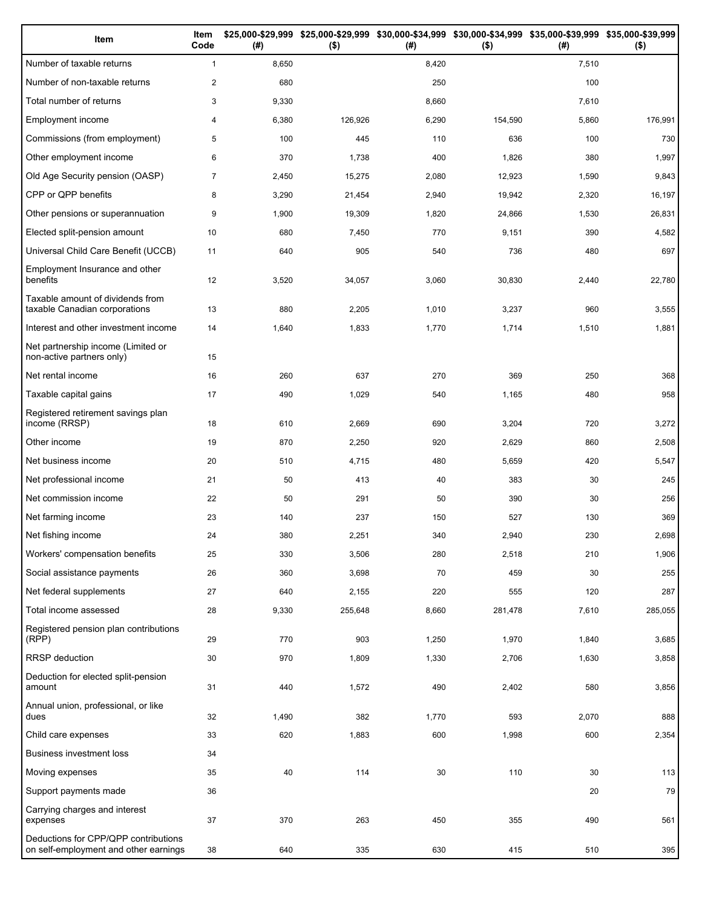| Item                                                                          | Item<br>Code   | (#)   | $($ \$) | (#)   | \$25,000-\$29,999 \$25,000-\$29,999 \$30,000-\$34,999 \$30,000-\$34,999 \$35,000-\$39,999 \$35,000-\$39,999<br>$($ \$) | (#)   | $($ \$) |
|-------------------------------------------------------------------------------|----------------|-------|---------|-------|------------------------------------------------------------------------------------------------------------------------|-------|---------|
| Number of taxable returns                                                     | $\mathbf{1}$   | 8,650 |         | 8,420 |                                                                                                                        | 7,510 |         |
| Number of non-taxable returns                                                 | $\overline{2}$ | 680   |         | 250   |                                                                                                                        | 100   |         |
| Total number of returns                                                       | 3              | 9,330 |         | 8,660 |                                                                                                                        | 7,610 |         |
| Employment income                                                             | 4              | 6,380 | 126,926 | 6,290 | 154,590                                                                                                                | 5,860 | 176,991 |
| Commissions (from employment)                                                 | 5              | 100   | 445     | 110   | 636                                                                                                                    | 100   | 730     |
| Other employment income                                                       | 6              | 370   | 1,738   | 400   | 1,826                                                                                                                  | 380   | 1,997   |
| Old Age Security pension (OASP)                                               | $\overline{7}$ | 2,450 | 15,275  | 2,080 | 12,923                                                                                                                 | 1,590 | 9,843   |
| CPP or QPP benefits                                                           | 8              | 3,290 | 21,454  | 2,940 | 19,942                                                                                                                 | 2,320 | 16,197  |
| Other pensions or superannuation                                              | 9              | 1,900 | 19,309  | 1,820 | 24,866                                                                                                                 | 1,530 | 26,831  |
| Elected split-pension amount                                                  | 10             | 680   | 7,450   | 770   | 9,151                                                                                                                  | 390   | 4,582   |
| Universal Child Care Benefit (UCCB)                                           | 11             | 640   | 905     | 540   | 736                                                                                                                    | 480   | 697     |
| Employment Insurance and other<br>benefits                                    | 12             | 3,520 | 34,057  | 3,060 | 30,830                                                                                                                 | 2,440 | 22,780  |
| Taxable amount of dividends from<br>taxable Canadian corporations             | 13             | 880   | 2,205   | 1,010 | 3,237                                                                                                                  | 960   | 3,555   |
| Interest and other investment income                                          | 14             | 1,640 | 1,833   | 1,770 | 1,714                                                                                                                  | 1,510 | 1,881   |
| Net partnership income (Limited or<br>non-active partners only)               | 15             |       |         |       |                                                                                                                        |       |         |
| Net rental income                                                             | 16             | 260   | 637     | 270   | 369                                                                                                                    | 250   | 368     |
| Taxable capital gains                                                         | 17             | 490   | 1,029   | 540   | 1,165                                                                                                                  | 480   | 958     |
| Registered retirement savings plan<br>income (RRSP)                           | 18             | 610   | 2,669   | 690   | 3,204                                                                                                                  | 720   | 3,272   |
| Other income                                                                  | 19             | 870   | 2,250   | 920   | 2,629                                                                                                                  | 860   | 2,508   |
| Net business income                                                           | 20             | 510   | 4,715   | 480   | 5,659                                                                                                                  | 420   | 5,547   |
| Net professional income                                                       | 21             | 50    | 413     | 40    | 383                                                                                                                    | 30    | 245     |
| Net commission income                                                         | 22             | 50    | 291     | 50    | 390                                                                                                                    | 30    | 256     |
| Net farming income                                                            | 23             | 140   | 237     | 150   | 527                                                                                                                    | 130   | 369     |
| Net fishing income                                                            | 24             | 380   | 2,251   | 340   | 2,940                                                                                                                  | 230   | 2,698   |
| Workers' compensation benefits                                                | 25             | 330   | 3,506   | 280   | 2,518                                                                                                                  | 210   | 1,906   |
| Social assistance payments                                                    | 26             | 360   | 3,698   | 70    | 459                                                                                                                    | 30    | 255     |
| Net federal supplements                                                       | 27             | 640   | 2,155   | 220   | 555                                                                                                                    | 120   | 287     |
| Total income assessed                                                         | 28             | 9,330 | 255,648 | 8,660 | 281,478                                                                                                                | 7,610 | 285,055 |
| Registered pension plan contributions<br>(RPP)                                | 29             | 770   | 903     | 1,250 | 1,970                                                                                                                  | 1,840 | 3,685   |
| RRSP deduction                                                                | 30             | 970   | 1,809   | 1,330 | 2,706                                                                                                                  | 1,630 | 3,858   |
| Deduction for elected split-pension<br>amount                                 | 31             | 440   | 1,572   | 490   | 2,402                                                                                                                  | 580   | 3,856   |
| Annual union, professional, or like<br>dues                                   | 32             | 1,490 | 382     | 1,770 | 593                                                                                                                    | 2,070 | 888     |
| Child care expenses                                                           | 33             | 620   | 1,883   | 600   | 1,998                                                                                                                  | 600   | 2,354   |
| Business investment loss                                                      | 34             |       |         |       |                                                                                                                        |       |         |
| Moving expenses                                                               | 35             | 40    | 114     | 30    | 110                                                                                                                    | 30    | 113     |
| Support payments made                                                         | 36             |       |         |       |                                                                                                                        | 20    | 79      |
| Carrying charges and interest<br>expenses                                     | 37             | 370   | 263     | 450   | 355                                                                                                                    | 490   | 561     |
| Deductions for CPP/QPP contributions<br>on self-employment and other earnings | 38             | 640   | 335     | 630   | 415                                                                                                                    | 510   | 395     |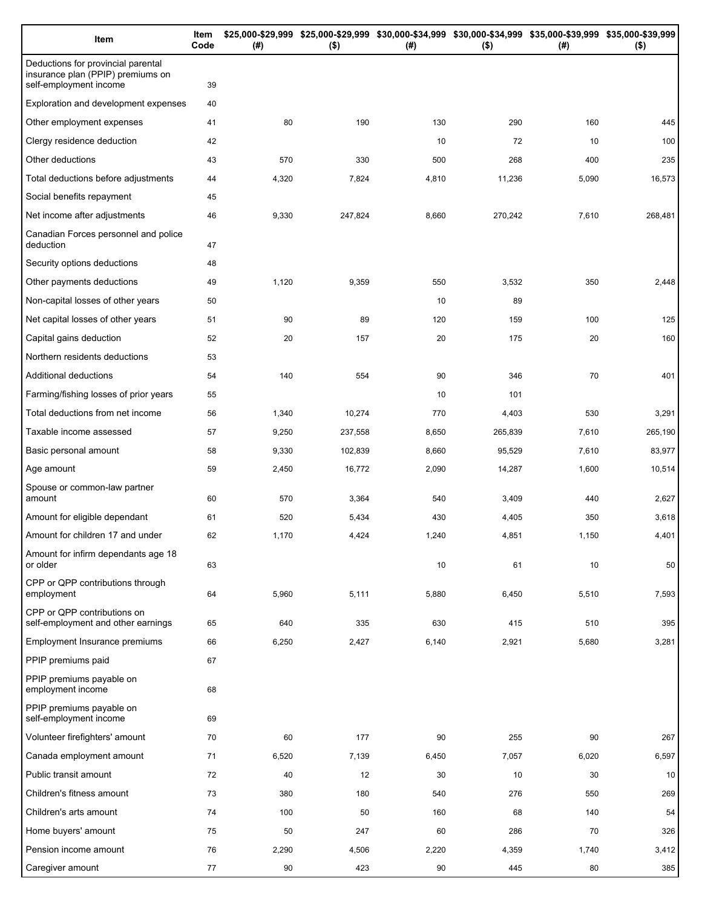| Item                                                                                              | Item<br>Code | (#)   | $($ \$) | (#)   | $($ \$) | \$25,000-\$29,999 \$25,000-\$29,999 \$30,000-\$34,999 \$30,000-\$34,999 \$35,000-\$39,999 \$35,000-\$39,999<br>(# ) | $($ \$)         |
|---------------------------------------------------------------------------------------------------|--------------|-------|---------|-------|---------|---------------------------------------------------------------------------------------------------------------------|-----------------|
| Deductions for provincial parental<br>insurance plan (PPIP) premiums on<br>self-employment income | 39           |       |         |       |         |                                                                                                                     |                 |
| Exploration and development expenses                                                              | 40           |       |         |       |         |                                                                                                                     |                 |
| Other employment expenses                                                                         | 41           | 80    | 190     | 130   | 290     | 160                                                                                                                 | 445             |
| Clergy residence deduction                                                                        | 42           |       |         | 10    | 72      | 10                                                                                                                  | 100             |
| Other deductions                                                                                  | 43           | 570   | 330     | 500   | 268     | 400                                                                                                                 | 235             |
| Total deductions before adjustments                                                               | 44           | 4,320 | 7,824   | 4,810 | 11,236  | 5,090                                                                                                               | 16,573          |
| Social benefits repayment                                                                         | 45           |       |         |       |         |                                                                                                                     |                 |
| Net income after adjustments                                                                      | 46           | 9,330 | 247,824 | 8,660 | 270,242 | 7,610                                                                                                               | 268,481         |
| Canadian Forces personnel and police<br>deduction                                                 | 47           |       |         |       |         |                                                                                                                     |                 |
| Security options deductions                                                                       | 48           |       |         |       |         |                                                                                                                     |                 |
| Other payments deductions                                                                         | 49           | 1,120 | 9,359   | 550   | 3,532   | 350                                                                                                                 | 2,448           |
| Non-capital losses of other years                                                                 | 50           |       |         | 10    | 89      |                                                                                                                     |                 |
| Net capital losses of other years                                                                 | 51           | 90    | 89      | 120   | 159     | 100                                                                                                                 | 125             |
| Capital gains deduction                                                                           | 52           | 20    | 157     | 20    | 175     | 20                                                                                                                  | 160             |
| Northern residents deductions                                                                     | 53           |       |         |       |         |                                                                                                                     |                 |
| Additional deductions                                                                             | 54           | 140   | 554     | 90    | 346     | 70                                                                                                                  | 401             |
| Farming/fishing losses of prior years                                                             | 55           |       |         | 10    | 101     |                                                                                                                     |                 |
| Total deductions from net income                                                                  | 56           | 1,340 | 10,274  | 770   | 4,403   | 530                                                                                                                 | 3,291           |
| Taxable income assessed                                                                           | 57           | 9,250 | 237,558 | 8,650 | 265,839 | 7,610                                                                                                               | 265,190         |
| Basic personal amount                                                                             | 58           | 9,330 | 102,839 | 8,660 | 95,529  | 7,610                                                                                                               | 83,977          |
| Age amount                                                                                        | 59           | 2,450 | 16,772  | 2,090 | 14,287  | 1,600                                                                                                               | 10,514          |
| Spouse or common-law partner<br>amount                                                            | 60           | 570   | 3,364   | 540   | 3,409   | 440                                                                                                                 | 2,627           |
| Amount for eligible dependant                                                                     | 61           | 520   | 5,434   | 430   | 4,405   | 350                                                                                                                 | 3,618           |
| Amount for children 17 and under                                                                  | 62           | 1,170 | 4,424   | 1,240 | 4,851   | 1,150                                                                                                               | 4,401           |
| Amount for infirm dependants age 18<br>or older                                                   | 63           |       |         | 10    | 61      | 10                                                                                                                  | 50              |
| CPP or QPP contributions through<br>employment                                                    | 64           | 5,960 | 5,111   | 5,880 | 6,450   | 5,510                                                                                                               | 7,593           |
| CPP or QPP contributions on<br>self-employment and other earnings                                 | 65           | 640   | 335     | 630   | 415     | 510                                                                                                                 | 395             |
| Employment Insurance premiums                                                                     | 66           | 6,250 | 2,427   | 6,140 | 2,921   | 5,680                                                                                                               | 3,281           |
| PPIP premiums paid                                                                                | 67           |       |         |       |         |                                                                                                                     |                 |
| PPIP premiums payable on<br>employment income                                                     | 68           |       |         |       |         |                                                                                                                     |                 |
| PPIP premiums payable on<br>self-employment income                                                | 69           |       |         |       |         |                                                                                                                     |                 |
| Volunteer firefighters' amount                                                                    | 70           | 60    | 177     | 90    | 255     | 90                                                                                                                  | 267             |
| Canada employment amount                                                                          | 71           | 6,520 | 7,139   | 6,450 | 7,057   | 6,020                                                                                                               | 6,597           |
| Public transit amount                                                                             | 72           | 40    | 12      | 30    | 10      | 30                                                                                                                  | 10 <sup>1</sup> |
| Children's fitness amount                                                                         | 73           | 380   | 180     | 540   | 276     | 550                                                                                                                 | 269             |
| Children's arts amount                                                                            | 74           | 100   | 50      | 160   | 68      | 140                                                                                                                 | 54              |
| Home buyers' amount                                                                               | 75           | 50    | 247     | 60    | 286     | 70                                                                                                                  | 326             |
| Pension income amount                                                                             | 76           | 2,290 | 4,506   | 2,220 | 4,359   | 1,740                                                                                                               | 3,412           |
| Caregiver amount                                                                                  | 77           | 90    | 423     | 90    | 445     | 80                                                                                                                  | 385             |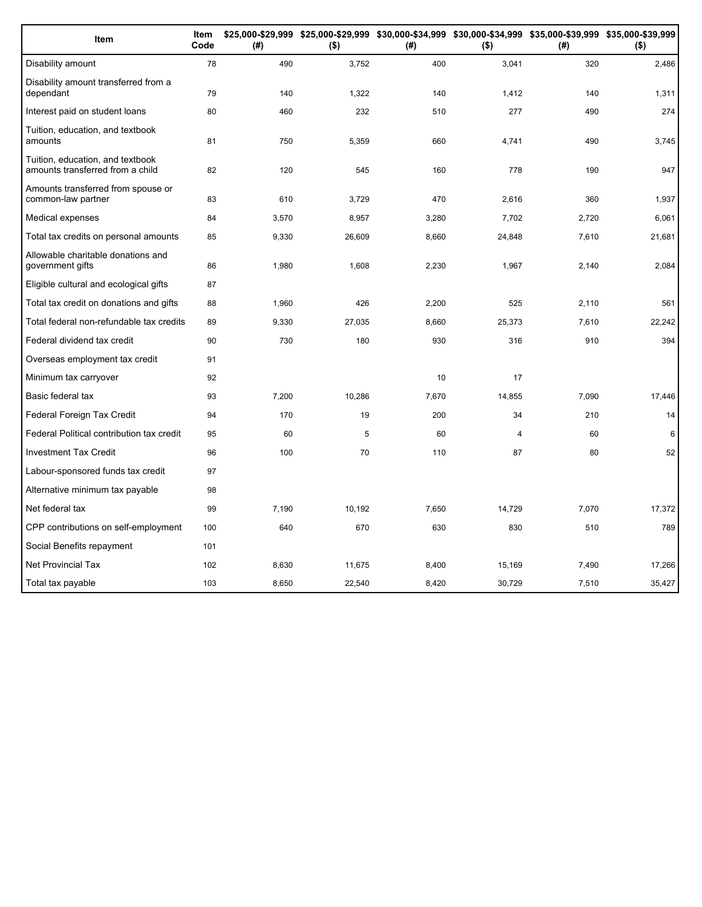| Item                                                                 | Item<br>Code | (#)   | $($ \$) | (#)   | $($ \$)        | \$25,000-\$29,999 \$25,000-\$29,999 \$30,000-\$34,999 \$30,000-\$34,999 \$35,000-\$39,999 \$35,000-\$39,999<br>(#) | $($ \$) |
|----------------------------------------------------------------------|--------------|-------|---------|-------|----------------|--------------------------------------------------------------------------------------------------------------------|---------|
| Disability amount                                                    | 78           | 490   | 3,752   | 400   | 3,041          | 320                                                                                                                | 2,486   |
| Disability amount transferred from a<br>dependant                    | 79           | 140   | 1,322   | 140   | 1,412          | 140                                                                                                                | 1,311   |
| Interest paid on student loans                                       | 80           | 460   | 232     | 510   | 277            | 490                                                                                                                | 274     |
| Tuition, education, and textbook<br>amounts                          | 81           | 750   | 5,359   | 660   | 4,741          | 490                                                                                                                | 3,745   |
| Tuition, education, and textbook<br>amounts transferred from a child | 82           | 120   | 545     | 160   | 778            | 190                                                                                                                | 947     |
| Amounts transferred from spouse or<br>common-law partner             | 83           | 610   | 3,729   | 470   | 2,616          | 360                                                                                                                | 1,937   |
| Medical expenses                                                     | 84           | 3,570 | 8,957   | 3,280 | 7,702          | 2,720                                                                                                              | 6,061   |
| Total tax credits on personal amounts                                | 85           | 9,330 | 26,609  | 8,660 | 24,848         | 7,610                                                                                                              | 21,681  |
| Allowable charitable donations and<br>government gifts               | 86           | 1,980 | 1,608   | 2,230 | 1,967          | 2,140                                                                                                              | 2,084   |
| Eligible cultural and ecological gifts                               | 87           |       |         |       |                |                                                                                                                    |         |
| Total tax credit on donations and gifts                              | 88           | 1,960 | 426     | 2,200 | 525            | 2,110                                                                                                              | 561     |
| Total federal non-refundable tax credits                             | 89           | 9,330 | 27,035  | 8,660 | 25,373         | 7,610                                                                                                              | 22,242  |
| Federal dividend tax credit                                          | 90           | 730   | 180     | 930   | 316            | 910                                                                                                                | 394     |
| Overseas employment tax credit                                       | 91           |       |         |       |                |                                                                                                                    |         |
| Minimum tax carryover                                                | 92           |       |         | 10    | 17             |                                                                                                                    |         |
| Basic federal tax                                                    | 93           | 7,200 | 10,286  | 7,670 | 14,855         | 7,090                                                                                                              | 17,446  |
| Federal Foreign Tax Credit                                           | 94           | 170   | 19      | 200   | 34             | 210                                                                                                                | 14      |
| Federal Political contribution tax credit                            | 95           | 60    | 5       | 60    | $\overline{4}$ | 60                                                                                                                 | 6       |
| <b>Investment Tax Credit</b>                                         | 96           | 100   | 70      | 110   | 87             | 80                                                                                                                 | 52      |
| Labour-sponsored funds tax credit                                    | 97           |       |         |       |                |                                                                                                                    |         |
| Alternative minimum tax payable                                      | 98           |       |         |       |                |                                                                                                                    |         |
| Net federal tax                                                      | 99           | 7,190 | 10,192  | 7,650 | 14,729         | 7,070                                                                                                              | 17,372  |
| CPP contributions on self-employment                                 | 100          | 640   | 670     | 630   | 830            | 510                                                                                                                | 789     |
| Social Benefits repayment                                            | 101          |       |         |       |                |                                                                                                                    |         |
| <b>Net Provincial Tax</b>                                            | 102          | 8.630 | 11,675  | 8,400 | 15,169         | 7,490                                                                                                              | 17,266  |
| Total tax payable                                                    | 103          | 8.650 | 22.540  | 8,420 | 30.729         | 7.510                                                                                                              | 35,427  |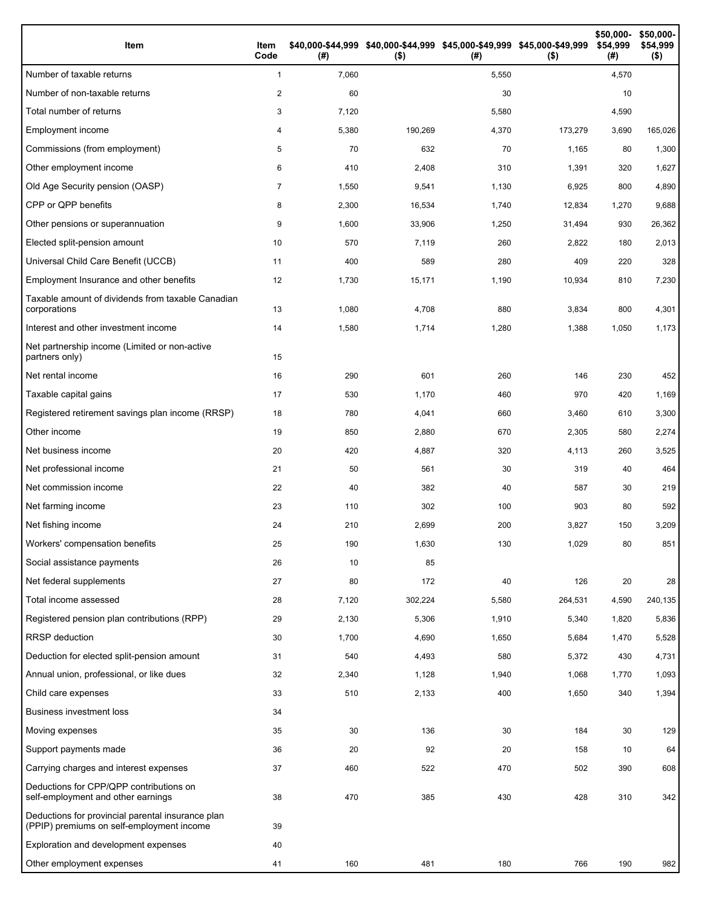| Item                                                                                           | Item<br>Code   | (#)   | \$40,000-\$44,999 \$40,000-\$44,999 \$45,000-\$49,999 \$45,000-\$49,999<br>$($ \$) | (#)   | $($ \$) | \$50,000-<br>\$54,999<br>(# ) | \$50,000-<br>\$54,999<br>$($ \$) |
|------------------------------------------------------------------------------------------------|----------------|-------|------------------------------------------------------------------------------------|-------|---------|-------------------------------|----------------------------------|
| Number of taxable returns                                                                      | $\mathbf{1}$   | 7,060 |                                                                                    | 5,550 |         | 4,570                         |                                  |
| Number of non-taxable returns                                                                  | 2              | 60    |                                                                                    | 30    |         | 10                            |                                  |
| Total number of returns                                                                        | 3              | 7,120 |                                                                                    | 5,580 |         | 4,590                         |                                  |
| Employment income                                                                              | 4              | 5,380 | 190,269                                                                            | 4,370 | 173,279 | 3,690                         | 165,026                          |
| Commissions (from employment)                                                                  | 5              | 70    | 632                                                                                | 70    | 1,165   | 80                            | 1,300                            |
| Other employment income                                                                        | 6              | 410   | 2,408                                                                              | 310   | 1,391   | 320                           | 1,627                            |
| Old Age Security pension (OASP)                                                                | $\overline{7}$ | 1,550 | 9,541                                                                              | 1,130 | 6,925   | 800                           | 4,890                            |
| CPP or QPP benefits                                                                            | 8              | 2,300 | 16,534                                                                             | 1,740 | 12,834  | 1,270                         | 9,688                            |
| Other pensions or superannuation                                                               | 9              | 1,600 | 33,906                                                                             | 1,250 | 31,494  | 930                           | 26,362                           |
| Elected split-pension amount                                                                   | 10             | 570   | 7,119                                                                              | 260   | 2,822   | 180                           | 2,013                            |
| Universal Child Care Benefit (UCCB)                                                            | 11             | 400   | 589                                                                                | 280   | 409     | 220                           | 328                              |
| Employment Insurance and other benefits                                                        | 12             | 1,730 | 15,171                                                                             | 1,190 | 10,934  | 810                           | 7,230                            |
| Taxable amount of dividends from taxable Canadian<br>corporations                              | 13             | 1,080 | 4,708                                                                              | 880   | 3,834   | 800                           | 4,301                            |
| Interest and other investment income                                                           | 14             | 1,580 | 1,714                                                                              | 1,280 | 1,388   | 1,050                         | 1,173                            |
| Net partnership income (Limited or non-active<br>partners only)                                | 15             |       |                                                                                    |       |         |                               |                                  |
| Net rental income                                                                              | 16             | 290   | 601                                                                                | 260   | 146     | 230                           | 452                              |
| Taxable capital gains                                                                          | 17             | 530   | 1,170                                                                              | 460   | 970     | 420                           | 1,169                            |
| Registered retirement savings plan income (RRSP)                                               | 18             | 780   | 4,041                                                                              | 660   | 3,460   | 610                           | 3,300                            |
| Other income                                                                                   | 19             | 850   | 2,880                                                                              | 670   | 2,305   | 580                           | 2,274                            |
| Net business income                                                                            | 20             | 420   | 4,887                                                                              | 320   | 4,113   | 260                           | 3,525                            |
| Net professional income                                                                        | 21             | 50    | 561                                                                                | 30    | 319     | 40                            | 464                              |
| Net commission income                                                                          | 22             | 40    | 382                                                                                | 40    | 587     | 30                            | 219                              |
| Net farming income                                                                             | 23             | 110   | 302                                                                                | 100   | 903     | 80                            | 592                              |
| Net fishing income                                                                             | 24             | 210   | 2,699                                                                              | 200   | 3,827   | 150                           | 3,209                            |
| Workers' compensation benefits                                                                 | 25             | 190   | 1,630                                                                              | 130   | 1,029   | 80                            | 851                              |
| Social assistance payments                                                                     | 26             | 10    | 85                                                                                 |       |         |                               |                                  |
| Net federal supplements                                                                        | 27             | 80    | 172                                                                                | 40    | 126     | 20                            | 28                               |
| Total income assessed                                                                          | 28             | 7,120 | 302,224                                                                            | 5,580 | 264,531 | 4,590                         | 240,135                          |
| Registered pension plan contributions (RPP)                                                    | 29             | 2,130 | 5,306                                                                              | 1,910 | 5,340   | 1,820                         | 5,836                            |
| RRSP deduction                                                                                 | 30             | 1,700 | 4,690                                                                              | 1,650 | 5,684   | 1,470                         | 5,528                            |
| Deduction for elected split-pension amount                                                     | 31             | 540   | 4,493                                                                              | 580   | 5,372   | 430                           | 4,731                            |
| Annual union, professional, or like dues                                                       | 32             | 2,340 | 1,128                                                                              | 1,940 | 1,068   | 1,770                         | 1,093                            |
| Child care expenses                                                                            | 33             | 510   | 2,133                                                                              | 400   | 1,650   | 340                           | 1,394                            |
| <b>Business investment loss</b>                                                                | 34             |       |                                                                                    |       |         |                               |                                  |
| Moving expenses                                                                                | 35             | 30    | 136                                                                                | 30    | 184     | 30                            | 129                              |
| Support payments made                                                                          | 36             | 20    | 92                                                                                 | 20    | 158     | 10                            | 64                               |
| Carrying charges and interest expenses                                                         | 37             | 460   | 522                                                                                | 470   | 502     | 390                           | 608                              |
| Deductions for CPP/QPP contributions on<br>self-employment and other earnings                  | 38             | 470   | 385                                                                                | 430   | 428     | 310                           | 342                              |
| Deductions for provincial parental insurance plan<br>(PPIP) premiums on self-employment income | 39             |       |                                                                                    |       |         |                               |                                  |
| Exploration and development expenses                                                           | 40             |       |                                                                                    |       |         |                               |                                  |
| Other employment expenses                                                                      | 41             | 160   | 481                                                                                | 180   | 766     | 190                           | 982                              |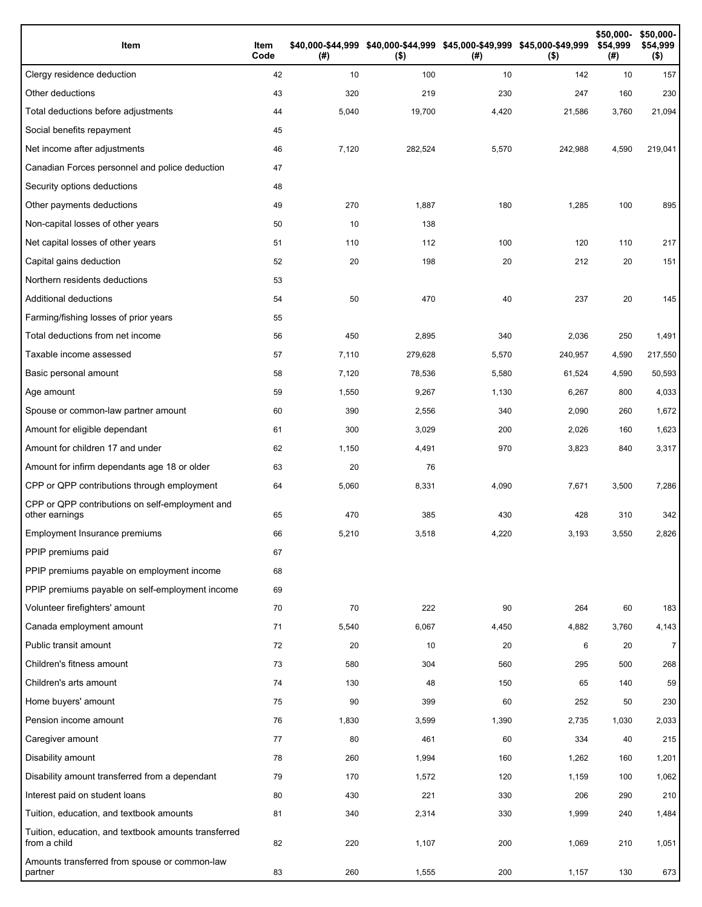| Item                                                                 | Item<br>Code | (# )  | \$40,000-\$44,999 \$40,000-\$44,999 \$45,000-\$49,999 \$45,000-\$49,999<br>$($ \$) | (# )  | $($ \$) | \$50,000-<br>\$54,999<br>(#) | \$50,000-<br>\$54,999<br>$($ \$) |
|----------------------------------------------------------------------|--------------|-------|------------------------------------------------------------------------------------|-------|---------|------------------------------|----------------------------------|
| Clergy residence deduction                                           | 42           | 10    | 100                                                                                | 10    | 142     | 10                           | 157                              |
| Other deductions                                                     | 43           | 320   | 219                                                                                | 230   | 247     | 160                          | 230                              |
| Total deductions before adjustments                                  | 44           | 5,040 | 19,700                                                                             | 4,420 | 21,586  | 3,760                        | 21,094                           |
| Social benefits repayment                                            | 45           |       |                                                                                    |       |         |                              |                                  |
| Net income after adjustments                                         | 46           | 7,120 | 282,524                                                                            | 5,570 | 242,988 | 4,590                        | 219,041                          |
| Canadian Forces personnel and police deduction                       | 47           |       |                                                                                    |       |         |                              |                                  |
| Security options deductions                                          | 48           |       |                                                                                    |       |         |                              |                                  |
| Other payments deductions                                            | 49           | 270   | 1,887                                                                              | 180   | 1,285   | 100                          | 895                              |
| Non-capital losses of other years                                    | 50           | 10    | 138                                                                                |       |         |                              |                                  |
| Net capital losses of other years                                    | 51           | 110   | 112                                                                                | 100   | 120     | 110                          | 217                              |
| Capital gains deduction                                              | 52           | 20    | 198                                                                                | 20    | 212     | 20                           | 151                              |
| Northern residents deductions                                        | 53           |       |                                                                                    |       |         |                              |                                  |
| Additional deductions                                                | 54           | 50    | 470                                                                                | 40    | 237     | 20                           | 145                              |
| Farming/fishing losses of prior years                                | 55           |       |                                                                                    |       |         |                              |                                  |
| Total deductions from net income                                     | 56           | 450   | 2,895                                                                              | 340   | 2,036   | 250                          | 1,491                            |
| Taxable income assessed                                              | 57           | 7,110 | 279,628                                                                            | 5,570 | 240,957 | 4,590                        | 217,550                          |
| Basic personal amount                                                | 58           | 7,120 | 78,536                                                                             | 5,580 | 61,524  | 4,590                        | 50,593                           |
| Age amount                                                           | 59           | 1,550 | 9,267                                                                              | 1,130 | 6,267   | 800                          | 4,033                            |
| Spouse or common-law partner amount                                  | 60           | 390   | 2,556                                                                              | 340   | 2,090   | 260                          | 1,672                            |
| Amount for eligible dependant                                        | 61           | 300   | 3,029                                                                              | 200   | 2,026   | 160                          | 1,623                            |
| Amount for children 17 and under                                     | 62           | 1,150 | 4,491                                                                              | 970   | 3,823   | 840                          | 3,317                            |
| Amount for infirm dependants age 18 or older                         | 63           | 20    | 76                                                                                 |       |         |                              |                                  |
| CPP or QPP contributions through employment                          | 64           | 5,060 | 8,331                                                                              | 4,090 | 7,671   | 3,500                        | 7,286                            |
| CPP or QPP contributions on self-employment and<br>other earnings    | 65           | 470   | 385                                                                                | 430   | 428     | 310                          | 342                              |
| Employment Insurance premiums                                        | 66           | 5,210 | 3,518                                                                              | 4,220 | 3,193   | 3,550                        | 2,826                            |
| PPIP premiums paid                                                   | 67           |       |                                                                                    |       |         |                              |                                  |
| PPIP premiums payable on employment income                           | 68           |       |                                                                                    |       |         |                              |                                  |
| PPIP premiums payable on self-employment income                      | 69           |       |                                                                                    |       |         |                              |                                  |
| Volunteer firefighters' amount                                       | 70           | 70    | 222                                                                                | 90    | 264     | 60                           | 183                              |
| Canada employment amount                                             | 71           | 5,540 | 6,067                                                                              | 4,450 | 4,882   | 3,760                        | 4,143                            |
| Public transit amount                                                | 72           | 20    | 10                                                                                 | 20    | 6       | 20                           | $\overline{7}$                   |
| Children's fitness amount                                            | 73           | 580   | 304                                                                                | 560   | 295     | 500                          | 268                              |
| Children's arts amount                                               | 74           | 130   | 48                                                                                 | 150   | 65      | 140                          | 59                               |
| Home buyers' amount                                                  | 75           | 90    | 399                                                                                | 60    | 252     | 50                           | 230                              |
| Pension income amount                                                | 76           | 1,830 | 3,599                                                                              | 1,390 | 2,735   | 1,030                        | 2,033                            |
| Caregiver amount                                                     | 77           | 80    | 461                                                                                | 60    | 334     | 40                           | 215                              |
| Disability amount                                                    | 78           | 260   | 1,994                                                                              | 160   | 1,262   | 160                          | 1,201                            |
| Disability amount transferred from a dependant                       | 79           | 170   | 1,572                                                                              | 120   | 1,159   | 100                          | 1,062                            |
| Interest paid on student loans                                       | 80           | 430   | 221                                                                                | 330   | 206     | 290                          | 210                              |
| Tuition, education, and textbook amounts                             | 81           | 340   | 2,314                                                                              | 330   | 1,999   | 240                          | 1,484                            |
| Tuition, education, and textbook amounts transferred<br>from a child | 82           | 220   | 1,107                                                                              | 200   | 1,069   | 210                          | 1,051                            |
| Amounts transferred from spouse or common-law<br>partner             | 83           | 260   | 1,555                                                                              | 200   | 1,157   | 130                          | 673                              |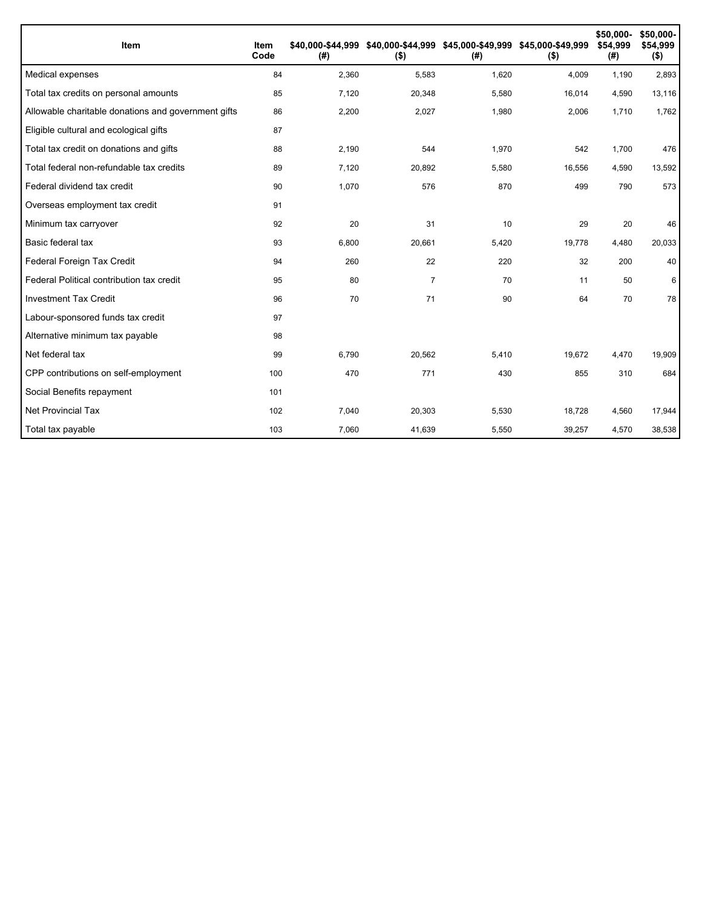| Item                                                | Item<br>Code | (#)   | \$40,000-\$44,999 \$40,000-\$44,999 \$45,000-\$49,999 \$45,000-\$49,999<br>$($ \$) | (#)   | $($ \$) | \$50,000-<br>\$54.999<br>(#) | \$50,000-<br>\$54,999<br>$($ \$) |
|-----------------------------------------------------|--------------|-------|------------------------------------------------------------------------------------|-------|---------|------------------------------|----------------------------------|
| Medical expenses                                    | 84           | 2,360 | 5,583                                                                              | 1,620 | 4,009   | 1,190                        | 2,893                            |
| Total tax credits on personal amounts               | 85           | 7,120 | 20,348                                                                             | 5,580 | 16,014  | 4,590                        | 13,116                           |
| Allowable charitable donations and government gifts | 86           | 2,200 | 2,027                                                                              | 1,980 | 2,006   | 1,710                        | 1,762                            |
| Eligible cultural and ecological gifts              | 87           |       |                                                                                    |       |         |                              |                                  |
| Total tax credit on donations and gifts             | 88           | 2,190 | 544                                                                                | 1,970 | 542     | 1,700                        | 476                              |
| Total federal non-refundable tax credits            | 89           | 7,120 | 20,892                                                                             | 5,580 | 16,556  | 4,590                        | 13,592                           |
| Federal dividend tax credit                         | 90           | 1,070 | 576                                                                                | 870   | 499     | 790                          | 573                              |
| Overseas employment tax credit                      | 91           |       |                                                                                    |       |         |                              |                                  |
| Minimum tax carryover                               | 92           | 20    | 31                                                                                 | 10    | 29      | 20                           | 46                               |
| Basic federal tax                                   | 93           | 6,800 | 20,661                                                                             | 5,420 | 19,778  | 4,480                        | 20,033                           |
| Federal Foreign Tax Credit                          | 94           | 260   | 22                                                                                 | 220   | 32      | 200                          | 40                               |
| Federal Political contribution tax credit           | 95           | 80    | $\overline{7}$                                                                     | 70    | 11      | 50                           | 6                                |
| <b>Investment Tax Credit</b>                        | 96           | 70    | 71                                                                                 | 90    | 64      | 70                           | 78                               |
| Labour-sponsored funds tax credit                   | 97           |       |                                                                                    |       |         |                              |                                  |
| Alternative minimum tax payable                     | 98           |       |                                                                                    |       |         |                              |                                  |
| Net federal tax                                     | 99           | 6,790 | 20,562                                                                             | 5,410 | 19,672  | 4,470                        | 19,909                           |
| CPP contributions on self-employment                | 100          | 470   | 771                                                                                | 430   | 855     | 310                          | 684                              |
| Social Benefits repayment                           | 101          |       |                                                                                    |       |         |                              |                                  |
| <b>Net Provincial Tax</b>                           | 102          | 7,040 | 20,303                                                                             | 5,530 | 18,728  | 4,560                        | 17,944                           |
| Total tax payable                                   | 103          | 7,060 | 41,639                                                                             | 5,550 | 39,257  | 4,570                        | 38,538                           |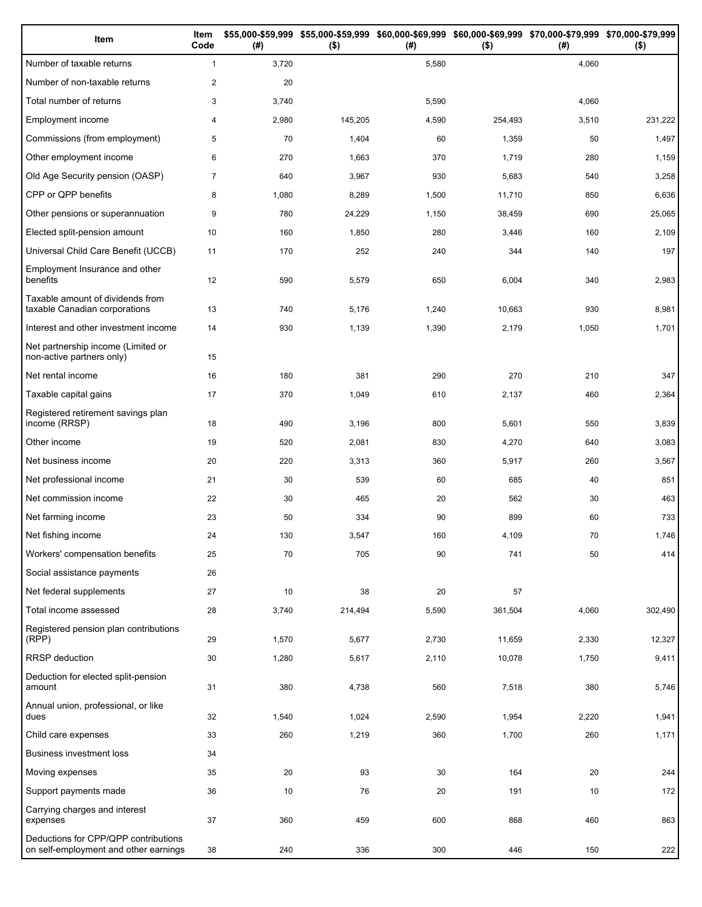| Item                                                                          | Item<br>Code   | (#)   | \$55,000-\$59,999 \$55,000-\$59,999 \$60,000-\$69,999 \$60,000-\$69,999 \$70,000-\$79,999 \$70,000-\$79,999<br>$($ \$) | (#)   | $($ \$) | (#)   | $($ \$) |
|-------------------------------------------------------------------------------|----------------|-------|------------------------------------------------------------------------------------------------------------------------|-------|---------|-------|---------|
| Number of taxable returns                                                     | $\mathbf{1}$   | 3,720 |                                                                                                                        | 5,580 |         | 4,060 |         |
| Number of non-taxable returns                                                 | $\overline{c}$ | 20    |                                                                                                                        |       |         |       |         |
| Total number of returns                                                       | 3              | 3,740 |                                                                                                                        | 5,590 |         | 4,060 |         |
| Employment income                                                             | 4              | 2,980 | 145,205                                                                                                                | 4,590 | 254,493 | 3,510 | 231,222 |
| Commissions (from employment)                                                 | 5              | 70    | 1,404                                                                                                                  | 60    | 1,359   | 50    | 1,497   |
| Other employment income                                                       | 6              | 270   | 1,663                                                                                                                  | 370   | 1,719   | 280   | 1,159   |
| Old Age Security pension (OASP)                                               | $\overline{7}$ | 640   | 3,967                                                                                                                  | 930   | 5,683   | 540   | 3,258   |
| CPP or QPP benefits                                                           | 8              | 1,080 | 8,289                                                                                                                  | 1,500 | 11,710  | 850   | 6,636   |
| Other pensions or superannuation                                              | 9              | 780   | 24,229                                                                                                                 | 1,150 | 38,459  | 690   | 25,065  |
| Elected split-pension amount                                                  | 10             | 160   | 1,850                                                                                                                  | 280   | 3,446   | 160   | 2,109   |
| Universal Child Care Benefit (UCCB)                                           | 11             | 170   | 252                                                                                                                    | 240   | 344     | 140   | 197     |
| Employment Insurance and other<br>benefits                                    | 12             | 590   | 5,579                                                                                                                  | 650   | 6,004   | 340   | 2,983   |
| Taxable amount of dividends from<br>taxable Canadian corporations             | 13             | 740   | 5,176                                                                                                                  | 1,240 | 10,663  | 930   | 8,981   |
| Interest and other investment income                                          | 14             | 930   | 1,139                                                                                                                  | 1,390 | 2,179   | 1,050 | 1,701   |
| Net partnership income (Limited or<br>non-active partners only)               | 15             |       |                                                                                                                        |       |         |       |         |
| Net rental income                                                             | 16             | 180   | 381                                                                                                                    | 290   | 270     | 210   | 347     |
| Taxable capital gains                                                         | 17             | 370   | 1,049                                                                                                                  | 610   | 2,137   | 460   | 2,364   |
| Registered retirement savings plan<br>income (RRSP)                           | 18             | 490   | 3,196                                                                                                                  | 800   | 5,601   | 550   | 3,839   |
| Other income                                                                  | 19             | 520   | 2,081                                                                                                                  | 830   | 4,270   | 640   | 3,083   |
| Net business income                                                           | 20             | 220   | 3,313                                                                                                                  | 360   | 5,917   | 260   | 3,567   |
| Net professional income                                                       | 21             | 30    | 539                                                                                                                    | 60    | 685     | 40    | 851     |
| Net commission income                                                         | 22             | 30    | 465                                                                                                                    | 20    | 562     | 30    | 463     |
| Net farming income                                                            | 23             | 50    | 334                                                                                                                    | 90    | 899     | 60    | 733     |
| Net fishing income                                                            | 24             | 130   | 3,547                                                                                                                  | 160   | 4,109   | 70    | 1,746   |
| Workers' compensation benefits                                                | 25             | 70    | 705                                                                                                                    | 90    | 741     | 50    | 414     |
| Social assistance payments                                                    | 26             |       |                                                                                                                        |       |         |       |         |
| Net federal supplements                                                       | 27             | 10    | 38                                                                                                                     | 20    | 57      |       |         |
| Total income assessed                                                         | 28             | 3,740 | 214,494                                                                                                                | 5,590 | 361,504 | 4,060 | 302,490 |
| Registered pension plan contributions<br>(RPP)                                | 29             | 1,570 | 5,677                                                                                                                  | 2,730 | 11,659  | 2,330 | 12,327  |
| RRSP deduction                                                                | 30             | 1,280 | 5,617                                                                                                                  | 2,110 | 10,078  | 1,750 | 9,411   |
| Deduction for elected split-pension<br>amount                                 | 31             | 380   | 4,738                                                                                                                  | 560   | 7,518   | 380   | 5,746   |
| Annual union, professional, or like<br>dues                                   | 32             | 1,540 | 1,024                                                                                                                  | 2,590 | 1,954   | 2,220 | 1,941   |
| Child care expenses                                                           | 33             | 260   | 1,219                                                                                                                  | 360   | 1,700   | 260   | 1,171   |
| <b>Business investment loss</b>                                               | 34             |       |                                                                                                                        |       |         |       |         |
| Moving expenses                                                               | 35             | 20    | 93                                                                                                                     | 30    | 164     | 20    | 244     |
| Support payments made                                                         | 36             | 10    | 76                                                                                                                     | 20    | 191     | 10    | 172     |
| Carrying charges and interest<br>expenses                                     | 37             | 360   | 459                                                                                                                    | 600   | 868     | 460   | 863     |
| Deductions for CPP/QPP contributions<br>on self-employment and other earnings | 38             | 240   | 336                                                                                                                    | 300   | 446     | 150   | 222     |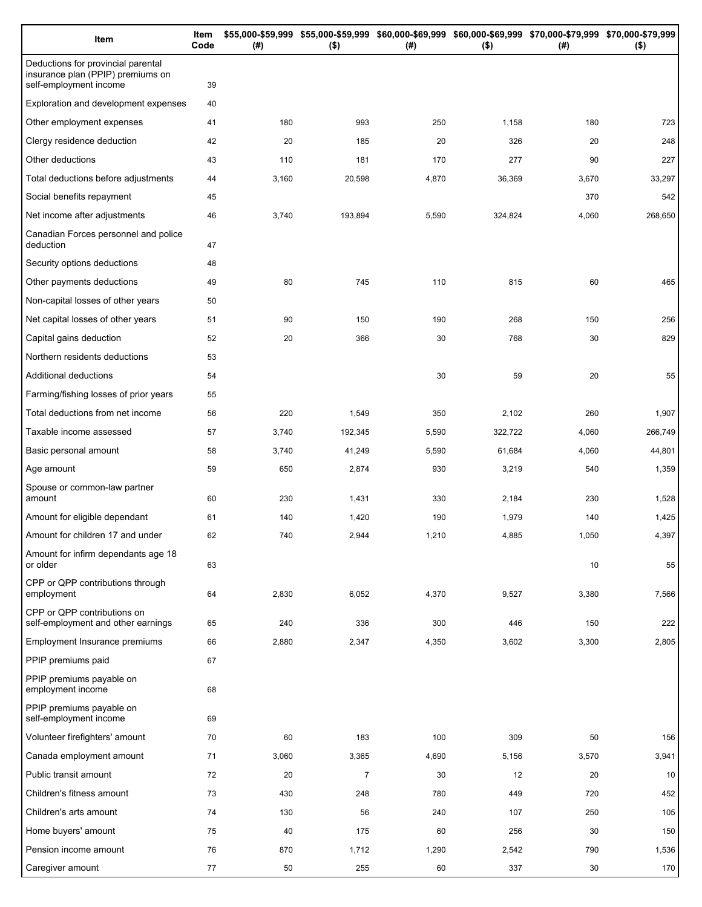| Item                                                                                              | Item<br>Code | (#)   | \$55,000-\$59,999 \$55,000-\$59,999 \$60,000-\$69,999 \$60,000-\$69,999 \$70,000-\$79,999 \$70,000-\$79,999<br>$($ \$) | (#)   | $($ \$) | (# )  | $($ \$) |
|---------------------------------------------------------------------------------------------------|--------------|-------|------------------------------------------------------------------------------------------------------------------------|-------|---------|-------|---------|
| Deductions for provincial parental<br>insurance plan (PPIP) premiums on<br>self-employment income | 39           |       |                                                                                                                        |       |         |       |         |
| Exploration and development expenses                                                              | 40           |       |                                                                                                                        |       |         |       |         |
| Other employment expenses                                                                         | 41           | 180   | 993                                                                                                                    | 250   | 1,158   | 180   | 723     |
| Clergy residence deduction                                                                        | 42           | 20    | 185                                                                                                                    | 20    | 326     | 20    | 248     |
| Other deductions                                                                                  | 43           | 110   | 181                                                                                                                    | 170   | 277     | 90    | 227     |
| Total deductions before adjustments                                                               | 44           | 3,160 | 20,598                                                                                                                 | 4,870 | 36,369  | 3,670 | 33,297  |
| Social benefits repayment                                                                         | 45           |       |                                                                                                                        |       |         | 370   | 542     |
| Net income after adjustments                                                                      | 46           | 3,740 | 193,894                                                                                                                | 5,590 | 324,824 | 4,060 | 268,650 |
| Canadian Forces personnel and police<br>deduction                                                 | 47           |       |                                                                                                                        |       |         |       |         |
| Security options deductions                                                                       | 48           |       |                                                                                                                        |       |         |       |         |
| Other payments deductions                                                                         | 49           | 80    | 745                                                                                                                    | 110   | 815     | 60    | 465     |
| Non-capital losses of other years                                                                 | 50           |       |                                                                                                                        |       |         |       |         |
| Net capital losses of other years                                                                 | 51           | 90    | 150                                                                                                                    | 190   | 268     | 150   | 256     |
| Capital gains deduction                                                                           | 52           | 20    | 366                                                                                                                    | 30    | 768     | 30    | 829     |
| Northern residents deductions                                                                     | 53           |       |                                                                                                                        |       |         |       |         |
| Additional deductions                                                                             | 54           |       |                                                                                                                        | 30    | 59      | 20    | 55      |
| Farming/fishing losses of prior years                                                             | 55           |       |                                                                                                                        |       |         |       |         |
| Total deductions from net income                                                                  | 56           | 220   | 1,549                                                                                                                  | 350   | 2,102   | 260   | 1,907   |
| Taxable income assessed                                                                           | 57           | 3,740 | 192,345                                                                                                                | 5,590 | 322,722 | 4,060 | 266,749 |
| Basic personal amount                                                                             | 58           | 3,740 | 41,249                                                                                                                 | 5,590 | 61,684  | 4,060 | 44,801  |
| Age amount                                                                                        | 59           | 650   | 2,874                                                                                                                  | 930   | 3,219   | 540   | 1,359   |
| Spouse or common-law partner<br>amount                                                            | 60           | 230   | 1,431                                                                                                                  | 330   | 2,184   | 230   | 1,528   |
| Amount for eligible dependant                                                                     | 61           | 140   | 1,420                                                                                                                  | 190   | 1,979   | 140   | 1,425   |
| Amount for children 17 and under                                                                  | 62           | 740   | 2,944                                                                                                                  | 1,210 | 4,885   | 1,050 | 4,397   |
| Amount for infirm dependants age 18<br>or older                                                   | 63           |       |                                                                                                                        |       |         | 10    | 55      |
| CPP or QPP contributions through<br>employment                                                    | 64           | 2,830 | 6,052                                                                                                                  | 4,370 | 9,527   | 3,380 | 7,566   |
| CPP or QPP contributions on<br>self-employment and other earnings                                 | 65           | 240   | 336                                                                                                                    | 300   | 446     | 150   | 222     |
| Employment Insurance premiums                                                                     | 66           | 2,880 | 2,347                                                                                                                  | 4,350 | 3,602   | 3,300 | 2,805   |
| PPIP premiums paid                                                                                | 67           |       |                                                                                                                        |       |         |       |         |
| PPIP premiums payable on<br>employment income                                                     | 68           |       |                                                                                                                        |       |         |       |         |
| PPIP premiums payable on<br>self-employment income                                                | 69           |       |                                                                                                                        |       |         |       |         |
| Volunteer firefighters' amount                                                                    | 70           | 60    | 183                                                                                                                    | 100   | 309     | 50    | 156     |
| Canada employment amount                                                                          | 71           | 3,060 | 3,365                                                                                                                  | 4,690 | 5,156   | 3,570 | 3,941   |
| Public transit amount                                                                             | 72           | 20    | $\overline{7}$                                                                                                         | 30    | 12      | 20    | 10      |
| Children's fitness amount                                                                         | 73           | 430   | 248                                                                                                                    | 780   | 449     | 720   | 452     |
| Children's arts amount                                                                            | 74           | 130   | 56                                                                                                                     | 240   | 107     | 250   | 105     |
| Home buyers' amount                                                                               | 75           | 40    | 175                                                                                                                    | 60    | 256     | 30    | 150     |
| Pension income amount                                                                             | 76           | 870   | 1,712                                                                                                                  | 1,290 | 2,542   | 790   | 1,536   |
| Caregiver amount                                                                                  | 77           | 50    | 255                                                                                                                    | 60    | 337     | 30    | 170     |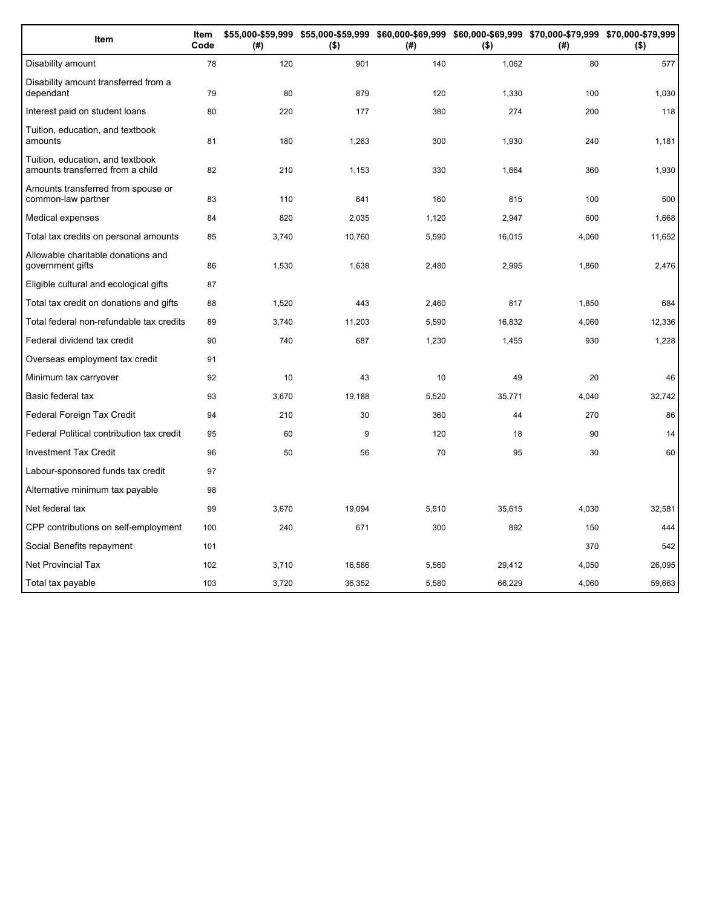| Item                                                                 | Item<br>Code | (#)   | $($ \$) | (#)   | $($ \$) | \$55,000-\$59,999 \$55,000-\$59,999 \$60,000-\$69,999 \$60,000-\$69,999 \$70,000-\$79,999 \$70,000-\$79,999<br>(#) | $($ \$) |
|----------------------------------------------------------------------|--------------|-------|---------|-------|---------|--------------------------------------------------------------------------------------------------------------------|---------|
| Disability amount                                                    | 78           | 120   | 901     | 140   | 1,062   | 80                                                                                                                 | 577     |
| Disability amount transferred from a<br>dependant                    | 79           | 80    | 879     | 120   | 1,330   | 100                                                                                                                | 1,030   |
| Interest paid on student loans                                       | 80           | 220   | 177     | 380   | 274     | 200                                                                                                                | 118     |
| Tuition, education, and textbook<br>amounts                          | 81           | 180   | 1,263   | 300   | 1,930   | 240                                                                                                                | 1,181   |
| Tuition, education, and textbook<br>amounts transferred from a child | 82           | 210   | 1,153   | 330   | 1,664   | 360                                                                                                                | 1,930   |
| Amounts transferred from spouse or<br>common-law partner             | 83           | 110   | 641     | 160   | 815     | 100                                                                                                                | 500     |
| Medical expenses                                                     | 84           | 820   | 2,035   | 1,120 | 2,947   | 600                                                                                                                | 1,668   |
| Total tax credits on personal amounts                                | 85           | 3,740 | 10,760  | 5,590 | 16,015  | 4,060                                                                                                              | 11,652  |
| Allowable charitable donations and<br>government gifts               | 86           | 1,530 | 1,638   | 2,480 | 2,995   | 1,860                                                                                                              | 2,476   |
| Eligible cultural and ecological gifts                               | 87           |       |         |       |         |                                                                                                                    |         |
| Total tax credit on donations and gifts                              | 88           | 1,520 | 443     | 2,460 | 817     | 1,850                                                                                                              | 684     |
| Total federal non-refundable tax credits                             | 89           | 3,740 | 11,203  | 5,590 | 16,832  | 4,060                                                                                                              | 12,336  |
| Federal dividend tax credit                                          | 90           | 740   | 687     | 1,230 | 1,455   | 930                                                                                                                | 1,228   |
| Overseas employment tax credit                                       | 91           |       |         |       |         |                                                                                                                    |         |
| Minimum tax carryover                                                | 92           | 10    | 43      | 10    | 49      | 20                                                                                                                 | 46      |
| Basic federal tax                                                    | 93           | 3,670 | 19.188  | 5,520 | 35,771  | 4,040                                                                                                              | 32,742  |
| Federal Foreign Tax Credit                                           | 94           | 210   | 30      | 360   | 44      | 270                                                                                                                | 86      |
| Federal Political contribution tax credit                            | 95           | 60    | 9       | 120   | 18      | 90                                                                                                                 | 14      |
| <b>Investment Tax Credit</b>                                         | 96           | 50    | 56      | 70    | 95      | 30                                                                                                                 | 60      |
| Labour-sponsored funds tax credit                                    | 97           |       |         |       |         |                                                                                                                    |         |
| Alternative minimum tax payable                                      | 98           |       |         |       |         |                                                                                                                    |         |
| Net federal tax                                                      | 99           | 3,670 | 19,094  | 5,510 | 35,615  | 4,030                                                                                                              | 32,581  |
| CPP contributions on self-employment                                 | 100          | 240   | 671     | 300   | 892     | 150                                                                                                                | 444     |
| Social Benefits repayment                                            | 101          |       |         |       |         | 370                                                                                                                | 542     |
| <b>Net Provincial Tax</b>                                            | 102          | 3.710 | 16,586  | 5,560 | 29,412  | 4,050                                                                                                              | 26,095  |
| Total tax payable                                                    | 103          | 3,720 | 36.352  | 5,580 | 66.229  | 4.060                                                                                                              | 59,663  |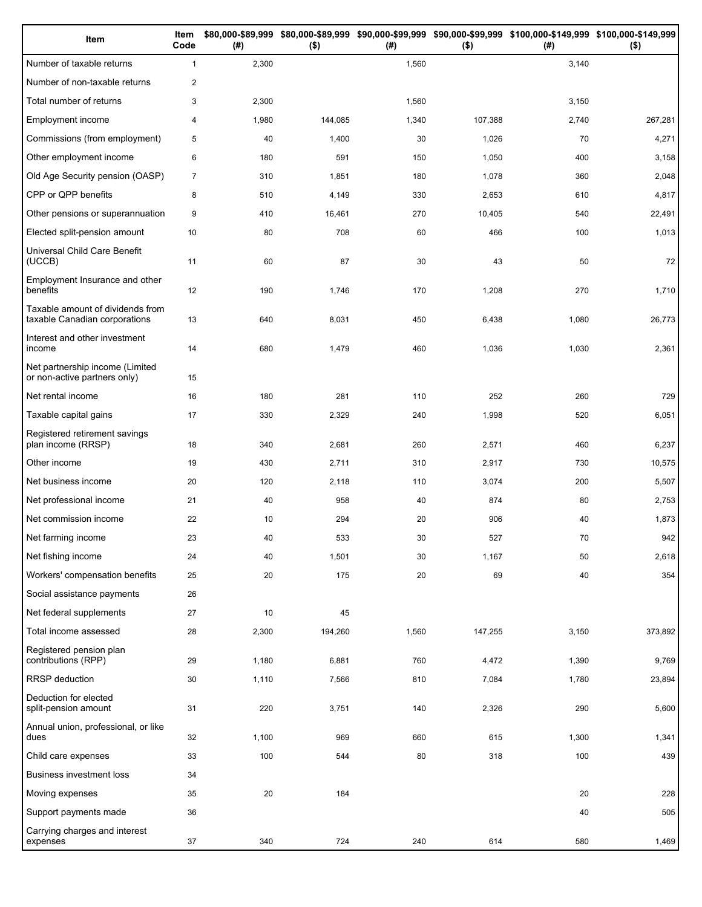| Item                                                              | Item<br>Code   | (# )  | $($ \$) | (#)   | $($ \$) | \$80,000-\$89,999 \$80,000-\$89,999 \$90,000-\$99,999 \$90,000-\$99,999 \$100,000-\$149,999 \$100,000-\$149,999<br>(#) | $($ \$) |
|-------------------------------------------------------------------|----------------|-------|---------|-------|---------|------------------------------------------------------------------------------------------------------------------------|---------|
| Number of taxable returns                                         | $\mathbf{1}$   | 2,300 |         | 1,560 |         | 3,140                                                                                                                  |         |
| Number of non-taxable returns                                     | $\overline{2}$ |       |         |       |         |                                                                                                                        |         |
| Total number of returns                                           | 3              | 2,300 |         | 1,560 |         | 3,150                                                                                                                  |         |
| Employment income                                                 | $\overline{4}$ | 1,980 | 144,085 | 1,340 | 107,388 | 2,740                                                                                                                  | 267,281 |
| Commissions (from employment)                                     | 5              | 40    | 1,400   | 30    | 1,026   | 70                                                                                                                     | 4,271   |
| Other employment income                                           | 6              | 180   | 591     | 150   | 1,050   | 400                                                                                                                    | 3,158   |
| Old Age Security pension (OASP)                                   | $\overline{7}$ | 310   | 1,851   | 180   | 1,078   | 360                                                                                                                    | 2,048   |
| CPP or QPP benefits                                               | 8              | 510   | 4,149   | 330   | 2,653   | 610                                                                                                                    | 4,817   |
| Other pensions or superannuation                                  | 9              | 410   | 16,461  | 270   | 10,405  | 540                                                                                                                    | 22,491  |
| Elected split-pension amount                                      | 10             | 80    | 708     | 60    | 466     | 100                                                                                                                    | 1,013   |
| Universal Child Care Benefit<br>(UCCB)                            | 11             | 60    | 87      | 30    | 43      | 50                                                                                                                     | 72      |
| Employment Insurance and other<br>benefits                        | 12             | 190   | 1,746   | 170   | 1,208   | 270                                                                                                                    | 1,710   |
| Taxable amount of dividends from<br>taxable Canadian corporations | 13             | 640   | 8,031   | 450   | 6,438   | 1,080                                                                                                                  | 26,773  |
| Interest and other investment<br>income                           | 14             | 680   | 1,479   | 460   | 1,036   | 1,030                                                                                                                  | 2,361   |
| Net partnership income (Limited<br>or non-active partners only)   | 15             |       |         |       |         |                                                                                                                        |         |
| Net rental income                                                 | 16             | 180   | 281     | 110   | 252     | 260                                                                                                                    | 729     |
| Taxable capital gains                                             | 17             | 330   | 2,329   | 240   | 1,998   | 520                                                                                                                    | 6,051   |
| Registered retirement savings<br>plan income (RRSP)               | 18             | 340   | 2,681   | 260   | 2,571   | 460                                                                                                                    | 6,237   |
| Other income                                                      | 19             | 430   | 2,711   | 310   | 2,917   | 730                                                                                                                    | 10,575  |
| Net business income                                               | 20             | 120   | 2,118   | 110   | 3,074   | 200                                                                                                                    | 5,507   |
| Net professional income                                           | 21             | 40    | 958     | 40    | 874     | 80                                                                                                                     | 2,753   |
| Net commission income                                             | 22             | 10    | 294     | 20    | 906     | 40                                                                                                                     | 1,873   |
| Net farming income                                                | 23             | 40    | 533     | 30    | 527     | 70                                                                                                                     | 942     |
| Net fishing income                                                | 24             | 40    | 1,501   | 30    | 1,167   | 50                                                                                                                     | 2,618   |
| Workers' compensation benefits                                    | 25             | 20    | 175     | 20    | 69      | 40                                                                                                                     | 354     |
| Social assistance payments                                        | 26             |       |         |       |         |                                                                                                                        |         |
| Net federal supplements                                           | 27             | 10    | 45      |       |         |                                                                                                                        |         |
| Total income assessed                                             | 28             | 2,300 | 194,260 | 1,560 | 147,255 | 3,150                                                                                                                  | 373,892 |
| Registered pension plan<br>contributions (RPP)                    | 29             | 1,180 | 6,881   | 760   | 4,472   | 1,390                                                                                                                  | 9,769   |
| <b>RRSP</b> deduction                                             | 30             | 1,110 | 7,566   | 810   | 7,084   | 1,780                                                                                                                  | 23,894  |
| Deduction for elected<br>split-pension amount                     | 31             | 220   | 3,751   | 140   | 2,326   | 290                                                                                                                    | 5,600   |
| Annual union, professional, or like<br>dues                       | 32             | 1,100 | 969     | 660   | 615     | 1,300                                                                                                                  | 1,341   |
| Child care expenses                                               | 33             | 100   | 544     | 80    | 318     | 100                                                                                                                    | 439     |
| Business investment loss                                          | 34             |       |         |       |         |                                                                                                                        |         |
| Moving expenses                                                   | 35             | 20    | 184     |       |         | 20                                                                                                                     | 228     |
| Support payments made                                             | 36             |       |         |       |         | 40                                                                                                                     | 505     |
| Carrying charges and interest<br>expenses                         | 37             | 340   | 724     | 240   | 614     | 580                                                                                                                    | 1,469   |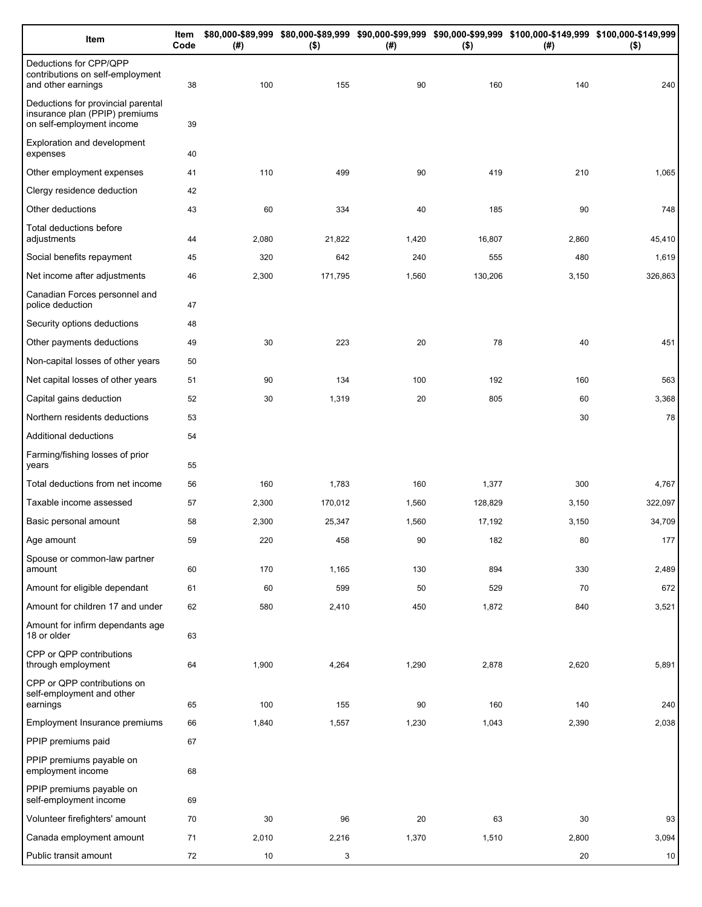| Item                                                                                              | Item<br>Code | (#)   | $($ \$) | (#)   | $($ \$) | \$80,000-\$89,999 \$80,000-\$89,999 \$90,000-\$99,999 \$90,000-\$99,999 \$100,000-\$149,999 \$100,000-\$149,999<br>(#) | $($ \$) |
|---------------------------------------------------------------------------------------------------|--------------|-------|---------|-------|---------|------------------------------------------------------------------------------------------------------------------------|---------|
| Deductions for CPP/QPP<br>contributions on self-employment<br>and other earnings                  | 38           | 100   | 155     | 90    | 160     | 140                                                                                                                    | 240     |
| Deductions for provincial parental<br>insurance plan (PPIP) premiums<br>on self-employment income | 39           |       |         |       |         |                                                                                                                        |         |
| Exploration and development<br>expenses                                                           | 40           |       |         |       |         |                                                                                                                        |         |
| Other employment expenses                                                                         | 41           | 110   | 499     | 90    | 419     | 210                                                                                                                    | 1,065   |
| Clergy residence deduction                                                                        | 42           |       |         |       |         |                                                                                                                        |         |
| Other deductions                                                                                  | 43           | 60    | 334     | 40    | 185     | 90                                                                                                                     | 748     |
| Total deductions before<br>adjustments                                                            | 44           | 2,080 | 21,822  | 1,420 | 16,807  | 2,860                                                                                                                  | 45,410  |
| Social benefits repayment                                                                         | 45           | 320   | 642     | 240   | 555     | 480                                                                                                                    | 1,619   |
| Net income after adjustments                                                                      | 46           | 2,300 | 171,795 | 1,560 | 130,206 | 3,150                                                                                                                  | 326,863 |
| Canadian Forces personnel and<br>police deduction                                                 | 47           |       |         |       |         |                                                                                                                        |         |
| Security options deductions                                                                       | 48           |       |         |       |         |                                                                                                                        |         |
| Other payments deductions                                                                         | 49           | 30    | 223     | 20    | 78      | 40                                                                                                                     | 451     |
| Non-capital losses of other years                                                                 | 50           |       |         |       |         |                                                                                                                        |         |
| Net capital losses of other years                                                                 | 51           | 90    | 134     | 100   | 192     | 160                                                                                                                    | 563     |
| Capital gains deduction                                                                           | 52           | 30    | 1,319   | 20    | 805     | 60                                                                                                                     | 3,368   |
| Northern residents deductions                                                                     | 53           |       |         |       |         | 30                                                                                                                     | 78      |
| Additional deductions                                                                             | 54           |       |         |       |         |                                                                                                                        |         |
| Farming/fishing losses of prior<br>years                                                          | 55           |       |         |       |         |                                                                                                                        |         |
| Total deductions from net income                                                                  | 56           | 160   | 1,783   | 160   | 1,377   | 300                                                                                                                    | 4,767   |
| Taxable income assessed                                                                           | 57           | 2,300 | 170,012 | 1,560 | 128,829 | 3,150                                                                                                                  | 322,097 |
| Basic personal amount                                                                             | 58           | 2,300 | 25,347  | 1,560 | 17,192  | 3,150                                                                                                                  | 34,709  |
| Age amount                                                                                        | 59           | 220   | 458     | 90    | 182     | 80                                                                                                                     | 177     |
| Spouse or common-law partner<br>amount                                                            | 60           | 170   | 1,165   | 130   | 894     | 330                                                                                                                    | 2,489   |
| Amount for eligible dependant                                                                     | 61           | 60    | 599     | 50    | 529     | 70                                                                                                                     | 672     |
| Amount for children 17 and under                                                                  | 62           | 580   | 2,410   | 450   | 1,872   | 840                                                                                                                    | 3,521   |
| Amount for infirm dependants age<br>18 or older                                                   | 63           |       |         |       |         |                                                                                                                        |         |
| CPP or QPP contributions<br>through employment                                                    | 64           | 1,900 | 4,264   | 1,290 | 2,878   | 2,620                                                                                                                  | 5,891   |
| CPP or QPP contributions on<br>self-employment and other<br>earnings                              | 65           | 100   | 155     | 90    | 160     | 140                                                                                                                    | 240     |
| Employment Insurance premiums                                                                     | 66           | 1,840 | 1,557   | 1,230 | 1,043   | 2,390                                                                                                                  | 2,038   |
| PPIP premiums paid                                                                                | 67           |       |         |       |         |                                                                                                                        |         |
| PPIP premiums payable on                                                                          |              |       |         |       |         |                                                                                                                        |         |
| employment income                                                                                 | 68           |       |         |       |         |                                                                                                                        |         |
| PPIP premiums payable on<br>self-employment income                                                | 69           |       |         |       |         |                                                                                                                        |         |
| Volunteer firefighters' amount                                                                    | 70           | 30    | 96      | 20    | 63      | 30                                                                                                                     | 93      |
| Canada employment amount                                                                          | 71           | 2,010 | 2,216   | 1,370 | 1,510   | 2,800                                                                                                                  | 3,094   |
| Public transit amount                                                                             | 72           | 10    | 3       |       |         | 20                                                                                                                     | 10      |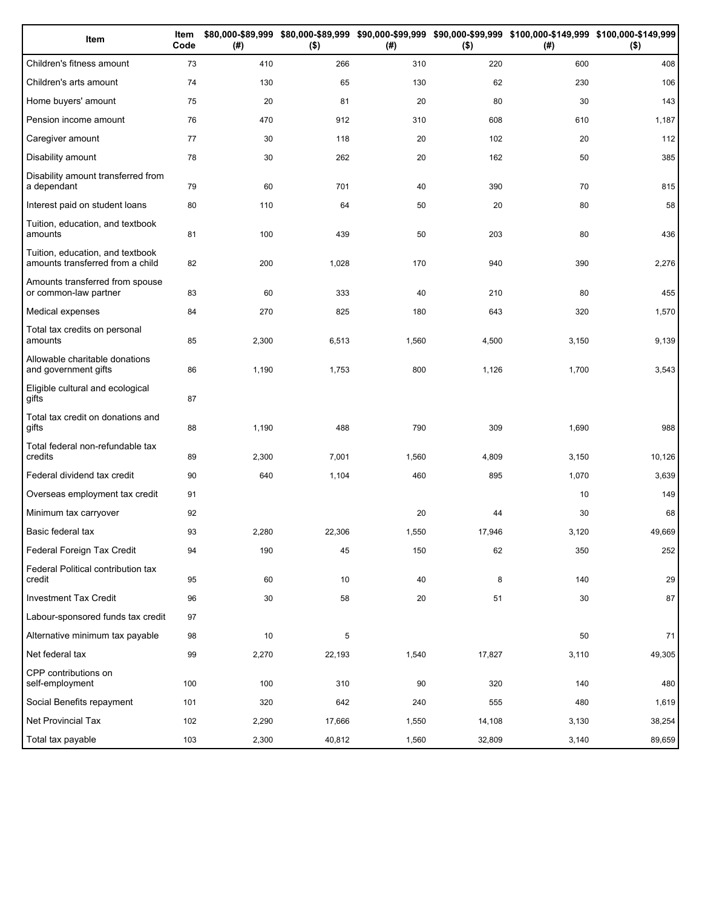| Item                                                                 | Item<br>Code | \$80,000-\$89,999<br>(# ) | $($ \$) | (#)   | $($ \$) | \$80,000-\$89,999 \$90,000-\$99,999 \$90,000-\$99,999 \$100,000-\$149,999 \$100,000-\$149,999<br>(#) | $($ \$) |
|----------------------------------------------------------------------|--------------|---------------------------|---------|-------|---------|------------------------------------------------------------------------------------------------------|---------|
| Children's fitness amount                                            | 73           | 410                       | 266     | 310   | 220     | 600                                                                                                  | 408     |
| Children's arts amount                                               | 74           | 130                       | 65      | 130   | 62      | 230                                                                                                  | 106     |
| Home buyers' amount                                                  | 75           | 20                        | 81      | 20    | 80      | 30                                                                                                   | 143     |
| Pension income amount                                                | 76           | 470                       | 912     | 310   | 608     | 610                                                                                                  | 1,187   |
| Caregiver amount                                                     | 77           | 30                        | 118     | 20    | 102     | 20                                                                                                   | 112     |
| Disability amount                                                    | 78           | 30                        | 262     | 20    | 162     | 50                                                                                                   | 385     |
| Disability amount transferred from<br>a dependant                    | 79           | 60                        | 701     | 40    | 390     | 70                                                                                                   | 815     |
| Interest paid on student loans                                       | 80           | 110                       | 64      | 50    | 20      | 80                                                                                                   | 58      |
| Tuition, education, and textbook<br>amounts                          | 81           | 100                       | 439     | 50    | 203     | 80                                                                                                   | 436     |
| Tuition, education, and textbook<br>amounts transferred from a child | 82           | 200                       | 1,028   | 170   | 940     | 390                                                                                                  | 2,276   |
| Amounts transferred from spouse<br>or common-law partner             | 83           | 60                        | 333     | 40    | 210     | 80                                                                                                   | 455     |
| Medical expenses                                                     | 84           | 270                       | 825     | 180   | 643     | 320                                                                                                  | 1,570   |
| Total tax credits on personal<br>amounts                             | 85           | 2,300                     | 6,513   | 1,560 | 4,500   | 3,150                                                                                                | 9,139   |
| Allowable charitable donations<br>and government gifts               | 86           | 1,190                     | 1,753   | 800   | 1,126   | 1,700                                                                                                | 3,543   |
| Eligible cultural and ecological<br>gifts                            | 87           |                           |         |       |         |                                                                                                      |         |
| Total tax credit on donations and<br>gifts                           | 88           | 1,190                     | 488     | 790   | 309     | 1,690                                                                                                | 988     |
| Total federal non-refundable tax<br>credits                          | 89           | 2,300                     | 7,001   | 1,560 | 4,809   | 3,150                                                                                                | 10,126  |
| Federal dividend tax credit                                          | 90           | 640                       | 1,104   | 460   | 895     | 1,070                                                                                                | 3,639   |
| Overseas employment tax credit                                       | 91           |                           |         |       |         | 10                                                                                                   | 149     |
| Minimum tax carryover                                                | 92           |                           |         | 20    | 44      | 30                                                                                                   | 68      |
| Basic federal tax                                                    | 93           | 2,280                     | 22,306  | 1,550 | 17,946  | 3,120                                                                                                | 49,669  |
| Federal Foreign Tax Credit                                           | 94           | 190                       | 45      | 150   | 62      | 350                                                                                                  | 252     |
| Federal Political contribution tax<br>credit                         | 95           | 60                        | 10      | 40    | 8       | 140                                                                                                  | 29      |
| <b>Investment Tax Credit</b>                                         | 96           | 30                        | 58      | 20    | 51      | 30                                                                                                   | 87      |
| Labour-sponsored funds tax credit                                    | 97           |                           |         |       |         |                                                                                                      |         |
| Alternative minimum tax payable                                      | 98           | 10                        | 5       |       |         | 50                                                                                                   | 71      |
| Net federal tax                                                      | 99           | 2,270                     | 22,193  | 1,540 | 17,827  | 3,110                                                                                                | 49,305  |
| CPP contributions on<br>self-employment                              | 100          | 100                       | 310     | 90    | 320     | 140                                                                                                  | 480     |
| Social Benefits repayment                                            | 101          | 320                       | 642     | 240   | 555     | 480                                                                                                  | 1,619   |
| Net Provincial Tax                                                   | 102          | 2,290                     | 17,666  | 1,550 | 14,108  | 3,130                                                                                                | 38,254  |
| Total tax payable                                                    | 103          | 2,300                     | 40,812  | 1,560 | 32,809  | 3,140                                                                                                | 89,659  |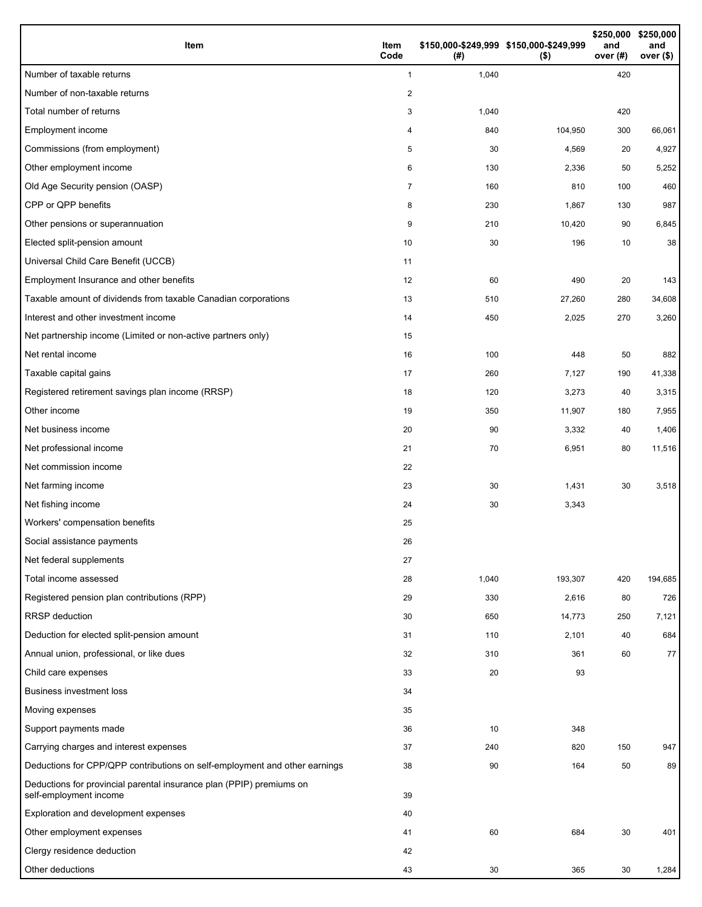| Item                                                                                           | Item<br>Code | (#)   | \$150,000-\$249,999 \$150,000-\$249,999<br>$($ \$) | \$250,000<br>and<br>over (#) | \$250,000<br>and<br>over (\$) |
|------------------------------------------------------------------------------------------------|--------------|-------|----------------------------------------------------|------------------------------|-------------------------------|
| Number of taxable returns                                                                      | $\mathbf{1}$ | 1,040 |                                                    | 420                          |                               |
| Number of non-taxable returns                                                                  | 2            |       |                                                    |                              |                               |
| Total number of returns                                                                        | 3            | 1,040 |                                                    | 420                          |                               |
| Employment income                                                                              | 4            | 840   | 104,950                                            | 300                          | 66,061                        |
| Commissions (from employment)                                                                  | 5            | 30    | 4,569                                              | 20                           | 4,927                         |
| Other employment income                                                                        | 6            | 130   | 2,336                                              | 50                           | 5,252                         |
| Old Age Security pension (OASP)                                                                | 7            | 160   | 810                                                | 100                          | 460                           |
| CPP or QPP benefits                                                                            | 8            | 230   | 1,867                                              | 130                          | 987                           |
| Other pensions or superannuation                                                               | 9            | 210   | 10,420                                             | 90                           | 6,845                         |
| Elected split-pension amount                                                                   | 10           | 30    | 196                                                | 10                           | 38                            |
| Universal Child Care Benefit (UCCB)                                                            | 11           |       |                                                    |                              |                               |
| Employment Insurance and other benefits                                                        | 12           | 60    | 490                                                | 20                           | 143                           |
| Taxable amount of dividends from taxable Canadian corporations                                 | 13           | 510   | 27,260                                             | 280                          | 34,608                        |
| Interest and other investment income                                                           | 14           | 450   | 2,025                                              | 270                          | 3,260                         |
| Net partnership income (Limited or non-active partners only)                                   | 15           |       |                                                    |                              |                               |
| Net rental income                                                                              | 16           | 100   | 448                                                | 50                           | 882                           |
| Taxable capital gains                                                                          | 17           | 260   | 7,127                                              | 190                          | 41,338                        |
| Registered retirement savings plan income (RRSP)                                               | 18           | 120   | 3,273                                              | 40                           | 3,315                         |
| Other income                                                                                   | 19           | 350   | 11,907                                             | 180                          | 7,955                         |
| Net business income                                                                            | 20           | 90    | 3,332                                              | 40                           | 1,406                         |
| Net professional income                                                                        | 21           | 70    | 6,951                                              | 80                           | 11,516                        |
| Net commission income                                                                          | 22           |       |                                                    |                              |                               |
| Net farming income                                                                             | 23           | 30    | 1,431                                              | 30                           | 3,518                         |
| Net fishing income                                                                             | 24           | 30    | 3,343                                              |                              |                               |
| Workers' compensation benefits                                                                 | 25           |       |                                                    |                              |                               |
| Social assistance payments                                                                     | 26           |       |                                                    |                              |                               |
| Net federal supplements                                                                        | 27           |       |                                                    |                              |                               |
| Total income assessed                                                                          | 28           | 1,040 | 193,307                                            | 420                          | 194,685                       |
| Registered pension plan contributions (RPP)                                                    | 29           | 330   | 2,616                                              | 80                           | 726                           |
| <b>RRSP</b> deduction                                                                          | 30           | 650   | 14,773                                             | 250                          | 7,121                         |
| Deduction for elected split-pension amount                                                     | 31           | 110   | 2,101                                              | 40                           | 684                           |
| Annual union, professional, or like dues                                                       | 32           | 310   | 361                                                | 60                           | 77                            |
| Child care expenses                                                                            | 33           | 20    | 93                                                 |                              |                               |
| <b>Business investment loss</b>                                                                | 34           |       |                                                    |                              |                               |
| Moving expenses                                                                                | 35           |       |                                                    |                              |                               |
| Support payments made                                                                          | 36           | 10    | 348                                                |                              |                               |
| Carrying charges and interest expenses                                                         | 37           | 240   | 820                                                | 150                          | 947                           |
| Deductions for CPP/QPP contributions on self-employment and other earnings                     | 38           | 90    | 164                                                | 50                           | 89                            |
| Deductions for provincial parental insurance plan (PPIP) premiums on<br>self-employment income | 39           |       |                                                    |                              |                               |
| Exploration and development expenses                                                           | 40           |       |                                                    |                              |                               |
| Other employment expenses                                                                      | 41           | 60    | 684                                                | 30                           | 401                           |
| Clergy residence deduction                                                                     | 42           |       |                                                    |                              |                               |
| Other deductions                                                                               | 43           | 30    | 365                                                | 30                           | 1,284                         |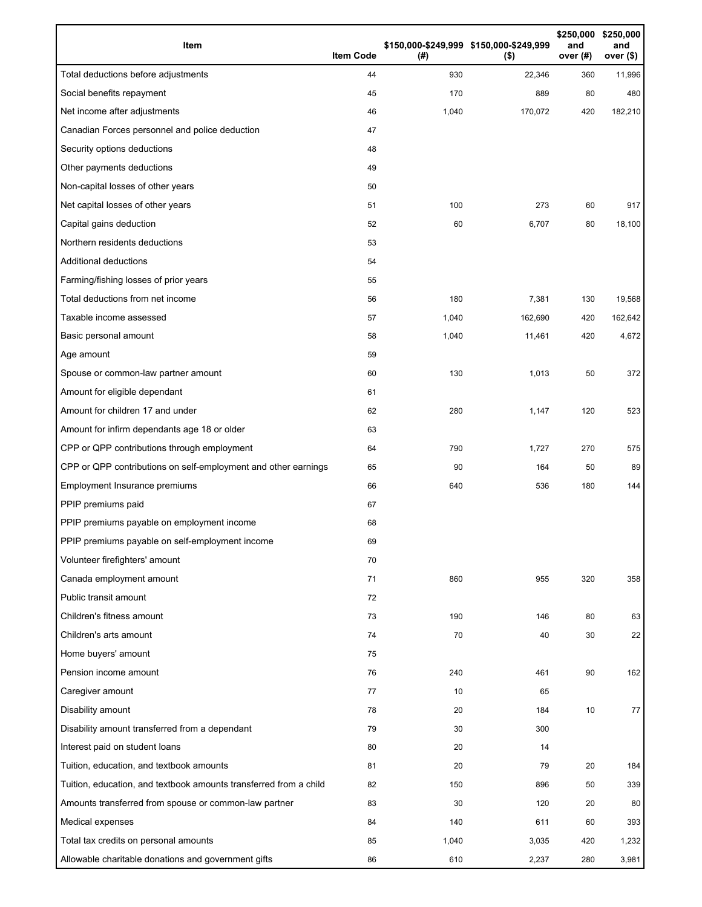| Item                                                              | <b>Item Code</b> | (# )  | \$150,000-\$249,999 \$150,000-\$249,999<br>$($ \$) | \$250,000<br>and<br>over (#) | \$250,000<br>and<br>over $($)$ |
|-------------------------------------------------------------------|------------------|-------|----------------------------------------------------|------------------------------|--------------------------------|
| Total deductions before adjustments                               | 44               | 930   | 22,346                                             | 360                          | 11,996                         |
| Social benefits repayment                                         | 45               | 170   | 889                                                | 80                           | 480                            |
| Net income after adjustments                                      | 46               | 1,040 | 170,072                                            | 420                          | 182,210                        |
| Canadian Forces personnel and police deduction                    | 47               |       |                                                    |                              |                                |
| Security options deductions                                       | 48               |       |                                                    |                              |                                |
| Other payments deductions                                         | 49               |       |                                                    |                              |                                |
| Non-capital losses of other years                                 | 50               |       |                                                    |                              |                                |
| Net capital losses of other years                                 | 51               | 100   | 273                                                | 60                           | 917                            |
| Capital gains deduction                                           | 52               | 60    | 6,707                                              | 80                           | 18,100                         |
| Northern residents deductions                                     | 53               |       |                                                    |                              |                                |
| <b>Additional deductions</b>                                      | 54               |       |                                                    |                              |                                |
| Farming/fishing losses of prior years                             | 55               |       |                                                    |                              |                                |
| Total deductions from net income                                  | 56               | 180   | 7,381                                              | 130                          | 19,568                         |
| Taxable income assessed                                           | 57               | 1,040 | 162,690                                            | 420                          | 162,642                        |
| Basic personal amount                                             | 58               | 1,040 | 11,461                                             | 420                          | 4,672                          |
| Age amount                                                        | 59               |       |                                                    |                              |                                |
| Spouse or common-law partner amount                               | 60               | 130   | 1,013                                              | 50                           | 372                            |
| Amount for eligible dependant                                     | 61               |       |                                                    |                              |                                |
| Amount for children 17 and under                                  | 62               | 280   | 1,147                                              | 120                          | 523                            |
| Amount for infirm dependants age 18 or older                      | 63               |       |                                                    |                              |                                |
| CPP or QPP contributions through employment                       | 64               | 790   | 1,727                                              | 270                          | 575                            |
| CPP or QPP contributions on self-employment and other earnings    | 65               | 90    | 164                                                | 50                           | 89                             |
| Employment Insurance premiums                                     | 66               | 640   | 536                                                | 180                          | 144                            |
| PPIP premiums paid                                                | 67               |       |                                                    |                              |                                |
| PPIP premiums payable on employment income                        | 68               |       |                                                    |                              |                                |
| PPIP premiums payable on self-employment income                   | 69               |       |                                                    |                              |                                |
| Volunteer firefighters' amount                                    | 70               |       |                                                    |                              |                                |
| Canada employment amount                                          | 71               | 860   | 955                                                | 320                          | 358                            |
| Public transit amount                                             | 72               |       |                                                    |                              |                                |
| Children's fitness amount                                         | 73               | 190   | 146                                                | 80                           | 63                             |
| Children's arts amount                                            | 74               | 70    | 40                                                 | 30                           | 22                             |
| Home buyers' amount                                               | 75               |       |                                                    |                              |                                |
| Pension income amount                                             | 76               | 240   | 461                                                | 90                           | 162                            |
| Caregiver amount                                                  | 77               | 10    | 65                                                 |                              |                                |
| Disability amount                                                 | 78               | 20    | 184                                                | 10                           | 77                             |
| Disability amount transferred from a dependant                    | 79               | 30    | 300                                                |                              |                                |
| Interest paid on student loans                                    | 80               | 20    | 14                                                 |                              |                                |
| Tuition, education, and textbook amounts                          | 81               | 20    | 79                                                 | 20                           | 184                            |
| Tuition, education, and textbook amounts transferred from a child | 82               | 150   | 896                                                | 50                           | 339                            |
| Amounts transferred from spouse or common-law partner             | 83               | 30    | 120                                                | 20                           | 80                             |
| Medical expenses                                                  | 84               | 140   | 611                                                | 60                           | 393                            |
| Total tax credits on personal amounts                             | 85               | 1,040 | 3,035                                              | 420                          | 1,232                          |
| Allowable charitable donations and government gifts               | 86               | 610   | 2,237                                              | 280                          | 3,981                          |